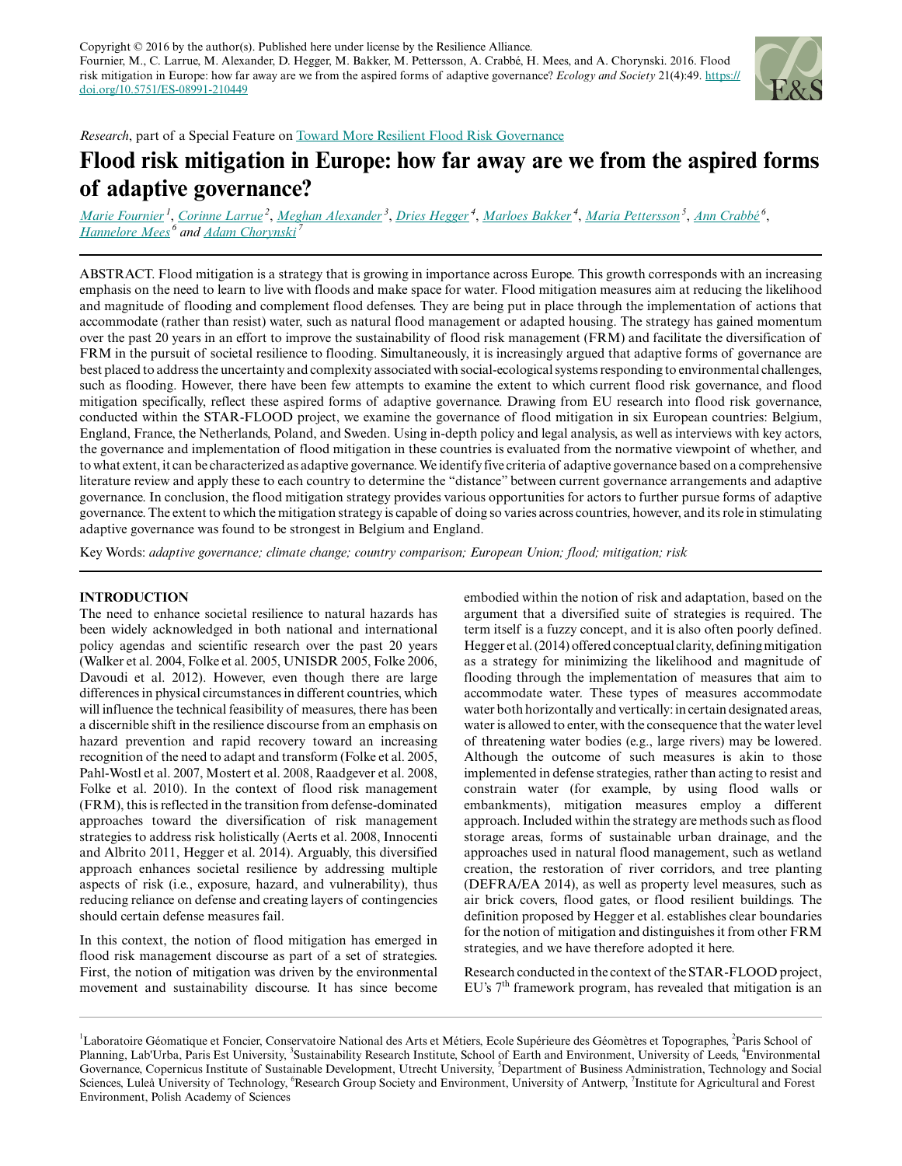

## *Research*, part of a Special Feature on [Toward More Resilient Flood Risk Governance](http://www.ecologyandsociety.org/viewissue.php?sf=115)

# **Flood risk mitigation in Europe: how far away are we from the aspired forms of adaptive governance?**

*[Marie Fournier](mailto:marie.fournier@cnam.fr)<sup>1</sup>* , *[Corinne Larrue](mailto:corinne.larrue@u-pec.fr)<sup>2</sup>* , *[Meghan Alexander](mailto:m.alexander@leeds.ac.uk)<sup>3</sup>* , *[Dries Hegger](mailto:d.l.t.hegger@uu.nl)<sup>4</sup>* , *[Marloes Bakker](mailto:bakkerm@lifetime.oregonstate.edu)<sup>4</sup>* , *[Maria Pettersson](mailto:maria.pettersson@ltu.se)<sup>5</sup>* , *[Ann Crabbé](mailto:ann.crabbe@uantwerpen.be)<sup>6</sup>* , *[Hannelore Mees](mailto:hannelore.mees@uantwerpen.be)<sup>6</sup> and [Adam Chorynski](mailto:adam@swarzedz.net.pl)<sup>7</sup>*

ABSTRACT. Flood mitigation is a strategy that is growing in importance across Europe. This growth corresponds with an increasing emphasis on the need to learn to live with floods and make space for water. Flood mitigation measures aim at reducing the likelihood and magnitude of flooding and complement flood defenses. They are being put in place through the implementation of actions that accommodate (rather than resist) water, such as natural flood management or adapted housing. The strategy has gained momentum over the past 20 years in an effort to improve the sustainability of flood risk management (FRM) and facilitate the diversification of FRM in the pursuit of societal resilience to flooding. Simultaneously, it is increasingly argued that adaptive forms of governance are best placed to address the uncertainty and complexity associated with social-ecological systems responding to environmental challenges, such as flooding. However, there have been few attempts to examine the extent to which current flood risk governance, and flood mitigation specifically, reflect these aspired forms of adaptive governance. Drawing from EU research into flood risk governance, conducted within the STAR-FLOOD project, we examine the governance of flood mitigation in six European countries: Belgium, England, France, the Netherlands, Poland, and Sweden. Using in-depth policy and legal analysis, as well as interviews with key actors, the governance and implementation of flood mitigation in these countries is evaluated from the normative viewpoint of whether, and to what extent, it can be characterized as adaptive governance. We identify five criteria of adaptive governance based on a comprehensive literature review and apply these to each country to determine the "distance" between current governance arrangements and adaptive governance. In conclusion, the flood mitigation strategy provides various opportunities for actors to further pursue forms of adaptive governance. The extent to which the mitigation strategy is capable of doing so varies across countries, however, and its role in stimulating adaptive governance was found to be strongest in Belgium and England.

Key Words: *adaptive governance; climate change; country comparison; European Union; flood; mitigation; risk*

#### **INTRODUCTION**

The need to enhance societal resilience to natural hazards has been widely acknowledged in both national and international policy agendas and scientific research over the past 20 years (Walker et al. 2004, Folke et al. 2005, UNISDR 2005, Folke 2006, Davoudi et al. 2012). However, even though there are large differences in physical circumstances in different countries, which will influence the technical feasibility of measures, there has been a discernible shift in the resilience discourse from an emphasis on hazard prevention and rapid recovery toward an increasing recognition of the need to adapt and transform (Folke et al. 2005, Pahl-Wostl et al. 2007, Mostert et al. 2008, Raadgever et al. 2008, Folke et al. 2010). In the context of flood risk management (FRM), this is reflected in the transition from defense-dominated approaches toward the diversification of risk management strategies to address risk holistically (Aerts et al. 2008, Innocenti and Albrito 2011, Hegger et al. 2014). Arguably, this diversified approach enhances societal resilience by addressing multiple aspects of risk (i.e., exposure, hazard, and vulnerability), thus reducing reliance on defense and creating layers of contingencies should certain defense measures fail.

In this context, the notion of flood mitigation has emerged in flood risk management discourse as part of a set of strategies. First, the notion of mitigation was driven by the environmental movement and sustainability discourse. It has since become

embodied within the notion of risk and adaptation, based on the argument that a diversified suite of strategies is required. The term itself is a fuzzy concept, and it is also often poorly defined. Hegger et al. (2014) offered conceptual clarity, defining mitigation as a strategy for minimizing the likelihood and magnitude of flooding through the implementation of measures that aim to accommodate water. These types of measures accommodate water both horizontally and vertically: in certain designated areas, water is allowed to enter, with the consequence that the water level of threatening water bodies (e.g., large rivers) may be lowered. Although the outcome of such measures is akin to those implemented in defense strategies, rather than acting to resist and constrain water (for example, by using flood walls or embankments), mitigation measures employ a different approach. Included within the strategy are methods such as flood storage areas, forms of sustainable urban drainage, and the approaches used in natural flood management, such as wetland creation, the restoration of river corridors, and tree planting (DEFRA/EA 2014), as well as property level measures, such as air brick covers, flood gates, or flood resilient buildings. The definition proposed by Hegger et al. establishes clear boundaries for the notion of mitigation and distinguishes it from other FRM strategies, and we have therefore adopted it here.

Research conducted in the context of the STAR-FLOOD project, EU's  $7<sup>th</sup>$  framework program, has revealed that mitigation is an

<sup>&</sup>lt;sup>1</sup>Laboratoire Géomatique et Foncier, Conservatoire National des Arts et Métiers, Ecole Supérieure des Géomètres et Topographes, <sup>2</sup>Paris School of Planning, Lab'Urba, Paris Est University, <sup>3</sup>Sustainability Research Institute, School of Earth and Environment, University of Leeds, <sup>4</sup>Environmental Governance, Copernicus Institute of Sustainable Development, Utrecht University, <sup>5</sup>Department of Business Administration, Technology and Social Sciences, Luleå University of Technology, <sup>6</sup>Research Group Society and Environment, University of Antwerp, <sup>7</sup>Institute for Agricultural and Forest Environment, Polish Academy of Sciences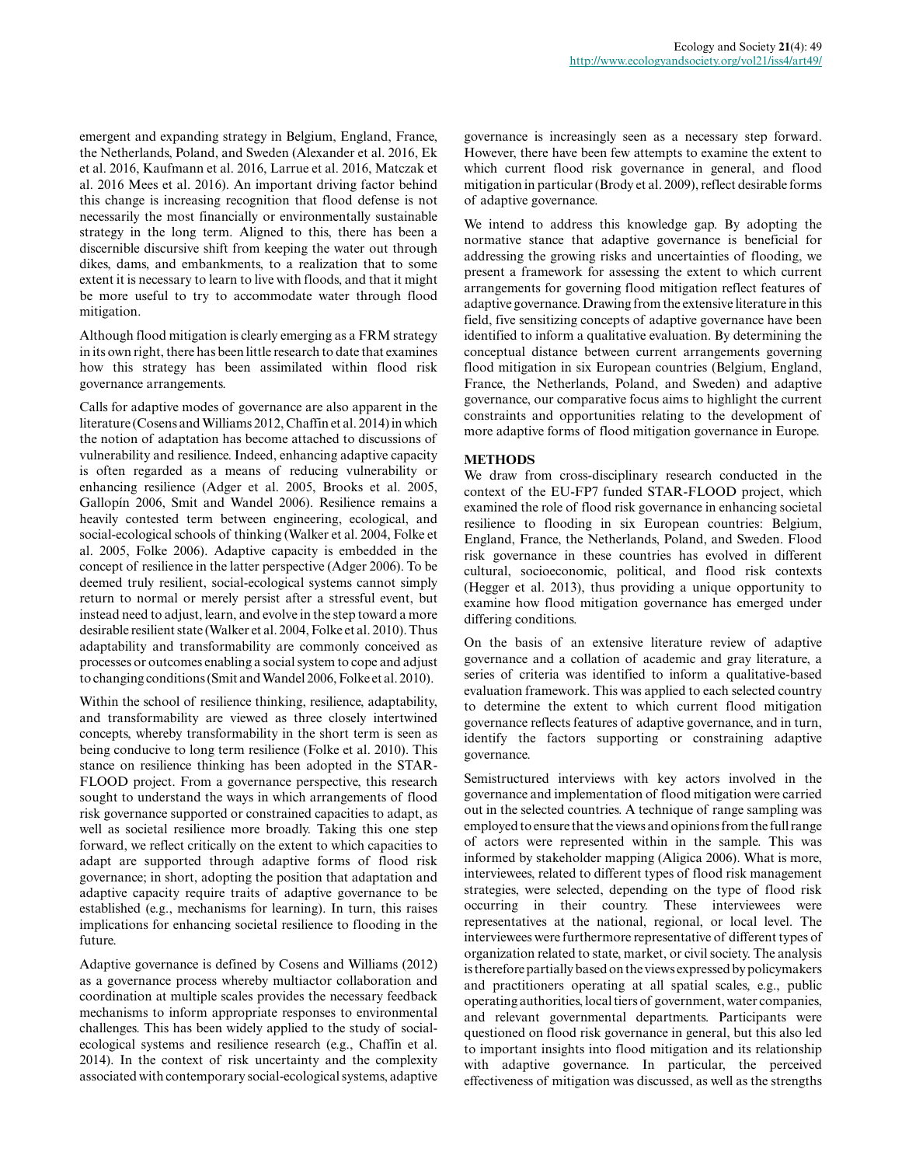emergent and expanding strategy in Belgium, England, France, the Netherlands, Poland, and Sweden (Alexander et al. 2016, Ek et al. 2016, Kaufmann et al. 2016, Larrue et al. 2016, Matczak et al. 2016 Mees et al. 2016). An important driving factor behind this change is increasing recognition that flood defense is not necessarily the most financially or environmentally sustainable strategy in the long term. Aligned to this, there has been a discernible discursive shift from keeping the water out through dikes, dams, and embankments, to a realization that to some extent it is necessary to learn to live with floods, and that it might be more useful to try to accommodate water through flood mitigation.

Although flood mitigation is clearly emerging as a FRM strategy in its own right, there has been little research to date that examines how this strategy has been assimilated within flood risk governance arrangements.

Calls for adaptive modes of governance are also apparent in the literature (Cosens and Williams 2012, Chaffin et al. 2014) in which the notion of adaptation has become attached to discussions of vulnerability and resilience. Indeed, enhancing adaptive capacity is often regarded as a means of reducing vulnerability or enhancing resilience (Adger et al. 2005, Brooks et al. 2005, Gallopín 2006, Smit and Wandel 2006). Resilience remains a heavily contested term between engineering, ecological, and social-ecological schools of thinking (Walker et al. 2004, Folke et al. 2005, Folke 2006). Adaptive capacity is embedded in the concept of resilience in the latter perspective (Adger 2006). To be deemed truly resilient, social-ecological systems cannot simply return to normal or merely persist after a stressful event, but instead need to adjust, learn, and evolve in the step toward a more desirable resilient state (Walker et al. 2004, Folke et al. 2010). Thus adaptability and transformability are commonly conceived as processes or outcomes enabling a social system to cope and adjust to changing conditions (Smit and Wandel 2006, Folke et al. 2010).

Within the school of resilience thinking, resilience, adaptability, and transformability are viewed as three closely intertwined concepts, whereby transformability in the short term is seen as being conducive to long term resilience (Folke et al. 2010). This stance on resilience thinking has been adopted in the STAR-FLOOD project. From a governance perspective, this research sought to understand the ways in which arrangements of flood risk governance supported or constrained capacities to adapt, as well as societal resilience more broadly. Taking this one step forward, we reflect critically on the extent to which capacities to adapt are supported through adaptive forms of flood risk governance; in short, adopting the position that adaptation and adaptive capacity require traits of adaptive governance to be established (e.g., mechanisms for learning). In turn, this raises implications for enhancing societal resilience to flooding in the future.

Adaptive governance is defined by Cosens and Williams (2012) as a governance process whereby multiactor collaboration and coordination at multiple scales provides the necessary feedback mechanisms to inform appropriate responses to environmental challenges. This has been widely applied to the study of socialecological systems and resilience research (e.g., Chaffin et al. 2014). In the context of risk uncertainty and the complexity associated with contemporary social-ecological systems, adaptive governance is increasingly seen as a necessary step forward. However, there have been few attempts to examine the extent to which current flood risk governance in general, and flood mitigation in particular (Brody et al. 2009), reflect desirable forms of adaptive governance.

We intend to address this knowledge gap. By adopting the normative stance that adaptive governance is beneficial for addressing the growing risks and uncertainties of flooding, we present a framework for assessing the extent to which current arrangements for governing flood mitigation reflect features of adaptive governance. Drawing from the extensive literature in this field, five sensitizing concepts of adaptive governance have been identified to inform a qualitative evaluation. By determining the conceptual distance between current arrangements governing flood mitigation in six European countries (Belgium, England, France, the Netherlands, Poland, and Sweden) and adaptive governance, our comparative focus aims to highlight the current constraints and opportunities relating to the development of more adaptive forms of flood mitigation governance in Europe.

# **METHODS**

We draw from cross-disciplinary research conducted in the context of the EU-FP7 funded STAR-FLOOD project, which examined the role of flood risk governance in enhancing societal resilience to flooding in six European countries: Belgium, England, France, the Netherlands, Poland, and Sweden. Flood risk governance in these countries has evolved in different cultural, socioeconomic, political, and flood risk contexts (Hegger et al. 2013), thus providing a unique opportunity to examine how flood mitigation governance has emerged under differing conditions.

On the basis of an extensive literature review of adaptive governance and a collation of academic and gray literature, a series of criteria was identified to inform a qualitative-based evaluation framework. This was applied to each selected country to determine the extent to which current flood mitigation governance reflects features of adaptive governance, and in turn, identify the factors supporting or constraining adaptive governance.

Semistructured interviews with key actors involved in the governance and implementation of flood mitigation were carried out in the selected countries. A technique of range sampling was employed to ensure that the views and opinions from the full range of actors were represented within in the sample. This was informed by stakeholder mapping (Aligica 2006). What is more, interviewees, related to different types of flood risk management strategies, were selected, depending on the type of flood risk occurring in their country. These interviewees were representatives at the national, regional, or local level. The interviewees were furthermore representative of different types of organization related to state, market, or civil society. The analysis is therefore partially based on the views expressed by policymakers and practitioners operating at all spatial scales, e.g., public operating authorities, local tiers of government, water companies, and relevant governmental departments. Participants were questioned on flood risk governance in general, but this also led to important insights into flood mitigation and its relationship with adaptive governance. In particular, the perceived effectiveness of mitigation was discussed, as well as the strengths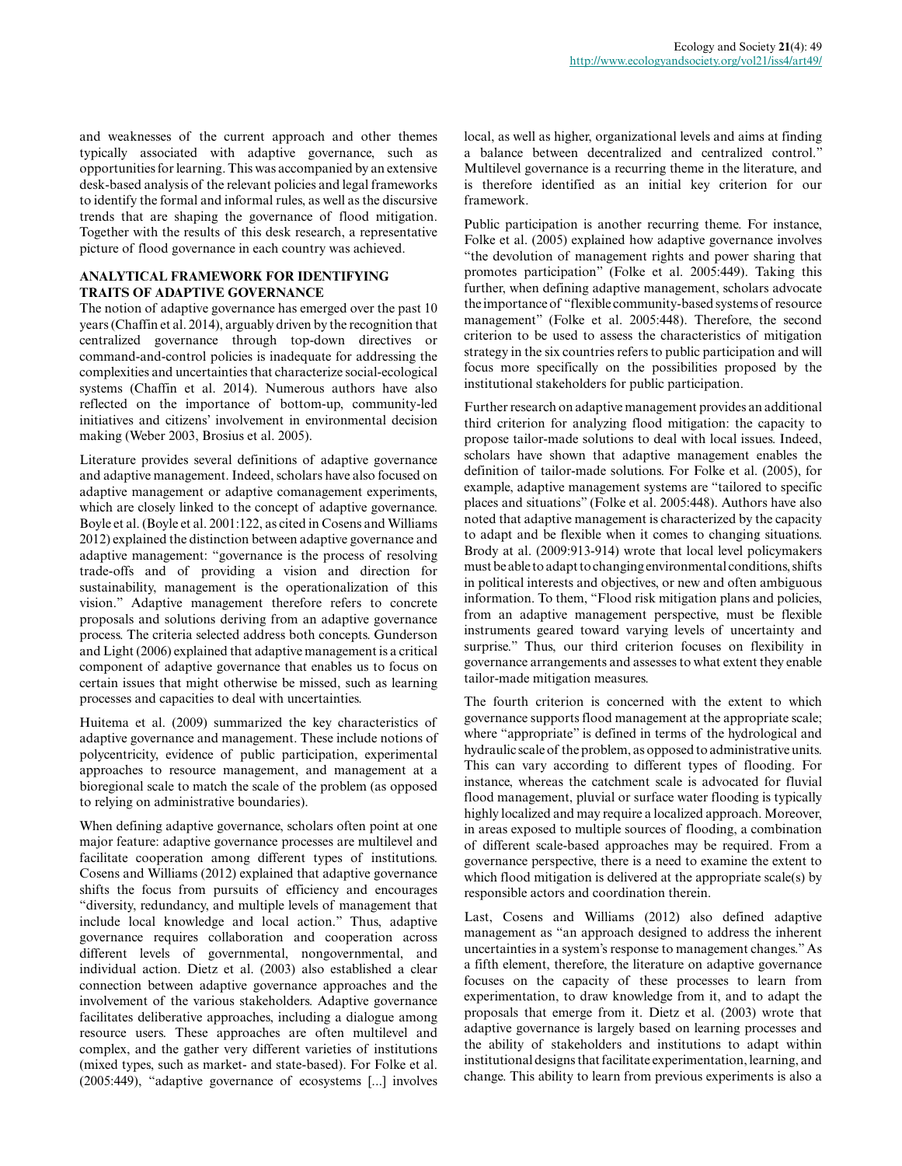and weaknesses of the current approach and other themes typically associated with adaptive governance, such as opportunities for learning. This was accompanied by an extensive desk-based analysis of the relevant policies and legal frameworks to identify the formal and informal rules, as well as the discursive trends that are shaping the governance of flood mitigation. Together with the results of this desk research, a representative picture of flood governance in each country was achieved.

## **ANALYTICAL FRAMEWORK FOR IDENTIFYING TRAITS OF ADAPTIVE GOVERNANCE**

The notion of adaptive governance has emerged over the past 10 years (Chaffin et al. 2014), arguably driven by the recognition that centralized governance through top-down directives or command-and-control policies is inadequate for addressing the complexities and uncertainties that characterize social-ecological systems (Chaffin et al. 2014). Numerous authors have also reflected on the importance of bottom-up, community-led initiatives and citizens' involvement in environmental decision making (Weber 2003, Brosius et al. 2005).

Literature provides several definitions of adaptive governance and adaptive management. Indeed, scholars have also focused on adaptive management or adaptive comanagement experiments, which are closely linked to the concept of adaptive governance. Boyle et al. (Boyle et al. 2001:122, as cited in Cosens and Williams 2012) explained the distinction between adaptive governance and adaptive management: "governance is the process of resolving trade-offs and of providing a vision and direction for sustainability, management is the operationalization of this vision." Adaptive management therefore refers to concrete proposals and solutions deriving from an adaptive governance process. The criteria selected address both concepts. Gunderson and Light (2006) explained that adaptive management is a critical component of adaptive governance that enables us to focus on certain issues that might otherwise be missed, such as learning processes and capacities to deal with uncertainties.

Huitema et al. (2009) summarized the key characteristics of adaptive governance and management. These include notions of polycentricity, evidence of public participation, experimental approaches to resource management, and management at a bioregional scale to match the scale of the problem (as opposed to relying on administrative boundaries).

When defining adaptive governance, scholars often point at one major feature: adaptive governance processes are multilevel and facilitate cooperation among different types of institutions. Cosens and Williams (2012) explained that adaptive governance shifts the focus from pursuits of efficiency and encourages "diversity, redundancy, and multiple levels of management that include local knowledge and local action." Thus, adaptive governance requires collaboration and cooperation across different levels of governmental, nongovernmental, and individual action. Dietz et al. (2003) also established a clear connection between adaptive governance approaches and the involvement of the various stakeholders. Adaptive governance facilitates deliberative approaches, including a dialogue among resource users. These approaches are often multilevel and complex, and the gather very different varieties of institutions (mixed types, such as market- and state-based). For Folke et al. (2005:449), "adaptive governance of ecosystems [...] involves

local, as well as higher, organizational levels and aims at finding a balance between decentralized and centralized control." Multilevel governance is a recurring theme in the literature, and is therefore identified as an initial key criterion for our framework.

Public participation is another recurring theme. For instance, Folke et al. (2005) explained how adaptive governance involves "the devolution of management rights and power sharing that promotes participation" (Folke et al. 2005:449). Taking this further, when defining adaptive management, scholars advocate the importance of "flexible community-based systems of resource management" (Folke et al. 2005:448). Therefore, the second criterion to be used to assess the characteristics of mitigation strategy in the six countries refers to public participation and will focus more specifically on the possibilities proposed by the institutional stakeholders for public participation.

Further research on adaptive management provides an additional third criterion for analyzing flood mitigation: the capacity to propose tailor-made solutions to deal with local issues. Indeed, scholars have shown that adaptive management enables the definition of tailor-made solutions. For Folke et al. (2005), for example, adaptive management systems are "tailored to specific places and situations" (Folke et al. 2005:448). Authors have also noted that adaptive management is characterized by the capacity to adapt and be flexible when it comes to changing situations. Brody at al. (2009:913-914) wrote that local level policymakers must be able to adapt to changing environmental conditions, shifts in political interests and objectives, or new and often ambiguous information. To them, "Flood risk mitigation plans and policies, from an adaptive management perspective, must be flexible instruments geared toward varying levels of uncertainty and surprise." Thus, our third criterion focuses on flexibility in governance arrangements and assesses to what extent they enable tailor-made mitigation measures.

The fourth criterion is concerned with the extent to which governance supports flood management at the appropriate scale; where "appropriate" is defined in terms of the hydrological and hydraulic scale of the problem, as opposed to administrative units. This can vary according to different types of flooding. For instance, whereas the catchment scale is advocated for fluvial flood management, pluvial or surface water flooding is typically highly localized and may require a localized approach. Moreover, in areas exposed to multiple sources of flooding, a combination of different scale-based approaches may be required. From a governance perspective, there is a need to examine the extent to which flood mitigation is delivered at the appropriate scale(s) by responsible actors and coordination therein.

Last, Cosens and Williams (2012) also defined adaptive management as "an approach designed to address the inherent uncertainties in a system's response to management changes." As a fifth element, therefore, the literature on adaptive governance focuses on the capacity of these processes to learn from experimentation, to draw knowledge from it, and to adapt the proposals that emerge from it. Dietz et al. (2003) wrote that adaptive governance is largely based on learning processes and the ability of stakeholders and institutions to adapt within institutional designs that facilitate experimentation, learning, and change. This ability to learn from previous experiments is also a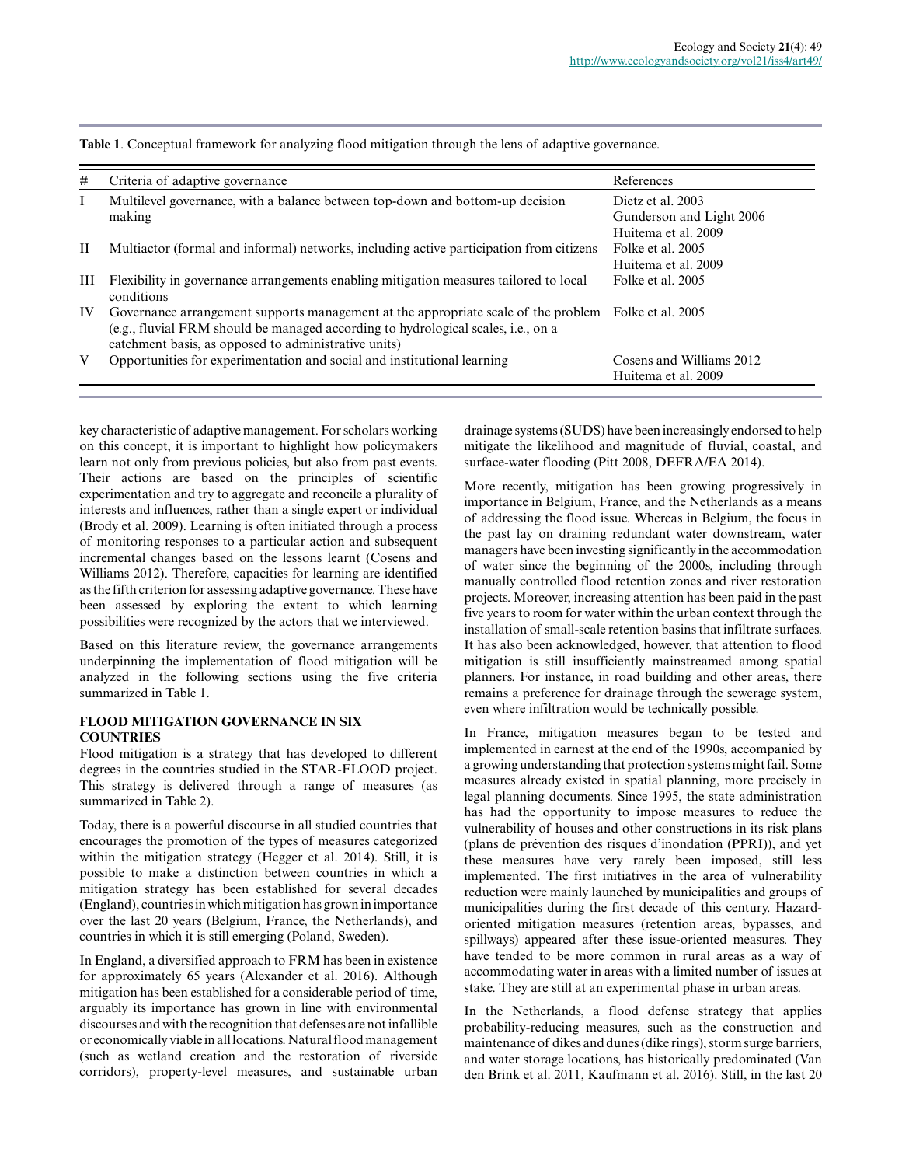| #  | Criteria of adaptive governance                                                                                                                                                                                                                   | References                                                           |
|----|---------------------------------------------------------------------------------------------------------------------------------------------------------------------------------------------------------------------------------------------------|----------------------------------------------------------------------|
|    | Multilevel governance, with a balance between top-down and bottom-up decision<br>making                                                                                                                                                           | Dietz et al. 2003<br>Gunderson and Light 2006<br>Huitema et al. 2009 |
| П  | Multiactor (formal and informal) networks, including active participation from citizens                                                                                                                                                           | Folke et al. 2005<br>Huitema et al. 2009                             |
| Ш  | Flexibility in governance arrangements enabling mitigation measures tailored to local<br>conditions                                                                                                                                               | Folke et al. 2005                                                    |
| IV | Governance arrangement supports management at the appropriate scale of the problem Folke et al. 2005<br>(e.g., fluvial FRM should be managed according to hydrological scales, i.e., on a<br>catchment basis, as opposed to administrative units) |                                                                      |
| V  | Opportunities for experimentation and social and institutional learning                                                                                                                                                                           | Cosens and Williams 2012<br>Huitema et al. 2009                      |

**Table 1**. Conceptual framework for analyzing flood mitigation through the lens of adaptive governance.

key characteristic of adaptive management. For scholars working on this concept, it is important to highlight how policymakers learn not only from previous policies, but also from past events. Their actions are based on the principles of scientific experimentation and try to aggregate and reconcile a plurality of interests and influences, rather than a single expert or individual (Brody et al. 2009). Learning is often initiated through a process of monitoring responses to a particular action and subsequent incremental changes based on the lessons learnt (Cosens and Williams 2012). Therefore, capacities for learning are identified as the fifth criterion for assessing adaptive governance. These have been assessed by exploring the extent to which learning possibilities were recognized by the actors that we interviewed.

Based on this literature review, the governance arrangements underpinning the implementation of flood mitigation will be analyzed in the following sections using the five criteria summarized in Table 1.

## **FLOOD MITIGATION GOVERNANCE IN SIX COUNTRIES**

Flood mitigation is a strategy that has developed to different degrees in the countries studied in the STAR-FLOOD project. This strategy is delivered through a range of measures (as summarized in Table 2).

Today, there is a powerful discourse in all studied countries that encourages the promotion of the types of measures categorized within the mitigation strategy (Hegger et al. 2014). Still, it is possible to make a distinction between countries in which a mitigation strategy has been established for several decades (England), countries in which mitigation has grown in importance over the last 20 years (Belgium, France, the Netherlands), and countries in which it is still emerging (Poland, Sweden).

In England, a diversified approach to FRM has been in existence for approximately 65 years (Alexander et al. 2016). Although mitigation has been established for a considerable period of time, arguably its importance has grown in line with environmental discourses and with the recognition that defenses are not infallible or economically viable in all locations. Natural flood management (such as wetland creation and the restoration of riverside corridors), property-level measures, and sustainable urban

drainage systems (SUDS) have been increasingly endorsed to help mitigate the likelihood and magnitude of fluvial, coastal, and surface-water flooding (Pitt 2008, DEFRA/EA 2014).

More recently, mitigation has been growing progressively in importance in Belgium, France, and the Netherlands as a means of addressing the flood issue. Whereas in Belgium, the focus in the past lay on draining redundant water downstream, water managers have been investing significantly in the accommodation of water since the beginning of the 2000s, including through manually controlled flood retention zones and river restoration projects. Moreover, increasing attention has been paid in the past five years to room for water within the urban context through the installation of small-scale retention basins that infiltrate surfaces. It has also been acknowledged, however, that attention to flood mitigation is still insufficiently mainstreamed among spatial planners. For instance, in road building and other areas, there remains a preference for drainage through the sewerage system, even where infiltration would be technically possible.

In France, mitigation measures began to be tested and implemented in earnest at the end of the 1990s, accompanied by a growing understanding that protection systems might fail. Some measures already existed in spatial planning, more precisely in legal planning documents. Since 1995, the state administration has had the opportunity to impose measures to reduce the vulnerability of houses and other constructions in its risk plans (plans de prévention des risques d'inondation (PPRI)), and yet these measures have very rarely been imposed, still less implemented. The first initiatives in the area of vulnerability reduction were mainly launched by municipalities and groups of municipalities during the first decade of this century. Hazardoriented mitigation measures (retention areas, bypasses, and spillways) appeared after these issue-oriented measures. They have tended to be more common in rural areas as a way of accommodating water in areas with a limited number of issues at stake. They are still at an experimental phase in urban areas.

In the Netherlands, a flood defense strategy that applies probability-reducing measures, such as the construction and maintenance of dikes and dunes (dike rings), storm surge barriers, and water storage locations, has historically predominated (Van den Brink et al. 2011, Kaufmann et al. 2016). Still, in the last 20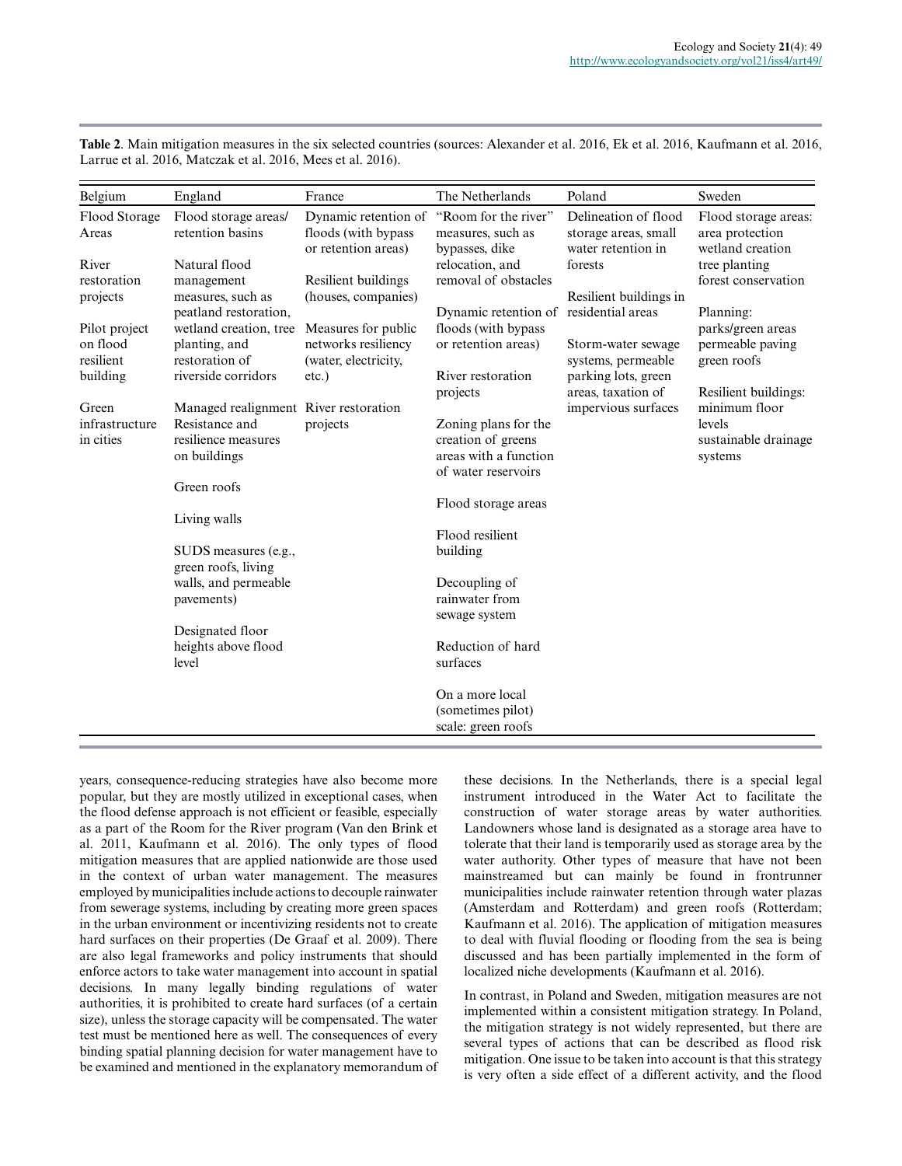**Table 2**. Main mitigation measures in the six selected countries (sources: Alexander et al. 2016, Ek et al. 2016, Kaufmann et al. 2016, Larrue et al. 2016, Matczak et al. 2016, Mees et al. 2016).

| Belgium                                                                           | England                                                                                                                                                                                                                                     | France                                                                                     | The Netherlands                                                                                                                                                                                                                                                   | Poland                                                                               | Sweden                                                                                 |
|-----------------------------------------------------------------------------------|---------------------------------------------------------------------------------------------------------------------------------------------------------------------------------------------------------------------------------------------|--------------------------------------------------------------------------------------------|-------------------------------------------------------------------------------------------------------------------------------------------------------------------------------------------------------------------------------------------------------------------|--------------------------------------------------------------------------------------|----------------------------------------------------------------------------------------|
| Flood Storage<br>Areas                                                            | Flood storage areas/<br>retention basins                                                                                                                                                                                                    | Dynamic retention of<br>floods (with bypass<br>or retention areas)                         | "Room for the river"<br>measures, such as<br>bypasses, dike                                                                                                                                                                                                       | Delineation of flood<br>storage areas, small<br>water retention in                   | Flood storage areas:<br>area protection<br>wetland creation                            |
| River                                                                             | Natural flood                                                                                                                                                                                                                               |                                                                                            | relocation, and                                                                                                                                                                                                                                                   | forests                                                                              | tree planting                                                                          |
| restoration                                                                       | management                                                                                                                                                                                                                                  | Resilient buildings                                                                        | removal of obstacles                                                                                                                                                                                                                                              |                                                                                      | forest conservation                                                                    |
| projects                                                                          | measures, such as                                                                                                                                                                                                                           | (houses, companies)                                                                        |                                                                                                                                                                                                                                                                   | Resilient buildings in                                                               |                                                                                        |
|                                                                                   |                                                                                                                                                                                                                                             |                                                                                            |                                                                                                                                                                                                                                                                   |                                                                                      |                                                                                        |
|                                                                                   |                                                                                                                                                                                                                                             |                                                                                            |                                                                                                                                                                                                                                                                   |                                                                                      |                                                                                        |
|                                                                                   |                                                                                                                                                                                                                                             |                                                                                            |                                                                                                                                                                                                                                                                   |                                                                                      |                                                                                        |
|                                                                                   | riverside corridors                                                                                                                                                                                                                         |                                                                                            | River restoration                                                                                                                                                                                                                                                 |                                                                                      |                                                                                        |
|                                                                                   |                                                                                                                                                                                                                                             |                                                                                            | projects                                                                                                                                                                                                                                                          | areas, taxation of                                                                   | Resilient buildings:                                                                   |
| Green                                                                             | Managed realignment River restoration                                                                                                                                                                                                       |                                                                                            |                                                                                                                                                                                                                                                                   | impervious surfaces                                                                  | minimum floor                                                                          |
|                                                                                   |                                                                                                                                                                                                                                             |                                                                                            |                                                                                                                                                                                                                                                                   |                                                                                      |                                                                                        |
|                                                                                   |                                                                                                                                                                                                                                             |                                                                                            |                                                                                                                                                                                                                                                                   |                                                                                      | sustainable drainage                                                                   |
|                                                                                   |                                                                                                                                                                                                                                             |                                                                                            |                                                                                                                                                                                                                                                                   |                                                                                      |                                                                                        |
|                                                                                   |                                                                                                                                                                                                                                             |                                                                                            |                                                                                                                                                                                                                                                                   |                                                                                      |                                                                                        |
|                                                                                   |                                                                                                                                                                                                                                             |                                                                                            |                                                                                                                                                                                                                                                                   |                                                                                      |                                                                                        |
|                                                                                   | Living walls                                                                                                                                                                                                                                |                                                                                            |                                                                                                                                                                                                                                                                   |                                                                                      |                                                                                        |
|                                                                                   |                                                                                                                                                                                                                                             |                                                                                            | Flood resilient                                                                                                                                                                                                                                                   |                                                                                      |                                                                                        |
|                                                                                   | SUDS measures (e.g.,                                                                                                                                                                                                                        |                                                                                            | building                                                                                                                                                                                                                                                          |                                                                                      |                                                                                        |
|                                                                                   |                                                                                                                                                                                                                                             |                                                                                            |                                                                                                                                                                                                                                                                   |                                                                                      |                                                                                        |
|                                                                                   |                                                                                                                                                                                                                                             |                                                                                            |                                                                                                                                                                                                                                                                   |                                                                                      |                                                                                        |
|                                                                                   |                                                                                                                                                                                                                                             |                                                                                            |                                                                                                                                                                                                                                                                   |                                                                                      |                                                                                        |
|                                                                                   |                                                                                                                                                                                                                                             |                                                                                            |                                                                                                                                                                                                                                                                   |                                                                                      |                                                                                        |
|                                                                                   | heights above flood                                                                                                                                                                                                                         |                                                                                            | Reduction of hard                                                                                                                                                                                                                                                 |                                                                                      |                                                                                        |
|                                                                                   | level                                                                                                                                                                                                                                       |                                                                                            | surfaces                                                                                                                                                                                                                                                          |                                                                                      |                                                                                        |
|                                                                                   |                                                                                                                                                                                                                                             |                                                                                            | On a more local                                                                                                                                                                                                                                                   |                                                                                      |                                                                                        |
|                                                                                   |                                                                                                                                                                                                                                             |                                                                                            | (sometimes pilot)                                                                                                                                                                                                                                                 |                                                                                      |                                                                                        |
|                                                                                   |                                                                                                                                                                                                                                             |                                                                                            |                                                                                                                                                                                                                                                                   |                                                                                      |                                                                                        |
| Pilot project<br>on flood<br>resilient<br>building<br>infrastructure<br>in cities | peatland restoration,<br>wetland creation, tree<br>planting, and<br>restoration of<br>Resistance and<br>resilience measures<br>on buildings<br>Green roofs<br>green roofs, living<br>walls, and permeable<br>pavements)<br>Designated floor | Measures for public<br>networks resiliency<br>(water, electricity,<br>$etc.$ )<br>projects | Dynamic retention of<br>floods (with bypass<br>or retention areas)<br>Zoning plans for the<br>creation of greens<br>areas with a function<br>of water reservoirs<br>Flood storage areas<br>Decoupling of<br>rainwater from<br>sewage system<br>scale: green roofs | residential areas<br>Storm-water sewage<br>systems, permeable<br>parking lots, green | Planning:<br>parks/green areas<br>permeable paving<br>green roofs<br>levels<br>systems |

years, consequence-reducing strategies have also become more popular, but they are mostly utilized in exceptional cases, when the flood defense approach is not efficient or feasible, especially as a part of the Room for the River program (Van den Brink et al. 2011, Kaufmann et al. 2016). The only types of flood mitigation measures that are applied nationwide are those used in the context of urban water management. The measures employed by municipalities include actions to decouple rainwater from sewerage systems, including by creating more green spaces in the urban environment or incentivizing residents not to create hard surfaces on their properties (De Graaf et al. 2009). There are also legal frameworks and policy instruments that should enforce actors to take water management into account in spatial decisions. In many legally binding regulations of water authorities, it is prohibited to create hard surfaces (of a certain size), unless the storage capacity will be compensated. The water test must be mentioned here as well. The consequences of every binding spatial planning decision for water management have to be examined and mentioned in the explanatory memorandum of

these decisions. In the Netherlands, there is a special legal instrument introduced in the Water Act to facilitate the construction of water storage areas by water authorities. Landowners whose land is designated as a storage area have to tolerate that their land is temporarily used as storage area by the water authority. Other types of measure that have not been mainstreamed but can mainly be found in frontrunner municipalities include rainwater retention through water plazas (Amsterdam and Rotterdam) and green roofs (Rotterdam; Kaufmann et al. 2016). The application of mitigation measures to deal with fluvial flooding or flooding from the sea is being discussed and has been partially implemented in the form of localized niche developments (Kaufmann et al. 2016).

In contrast, in Poland and Sweden, mitigation measures are not implemented within a consistent mitigation strategy. In Poland, the mitigation strategy is not widely represented, but there are several types of actions that can be described as flood risk mitigation. One issue to be taken into account is that this strategy is very often a side effect of a different activity, and the flood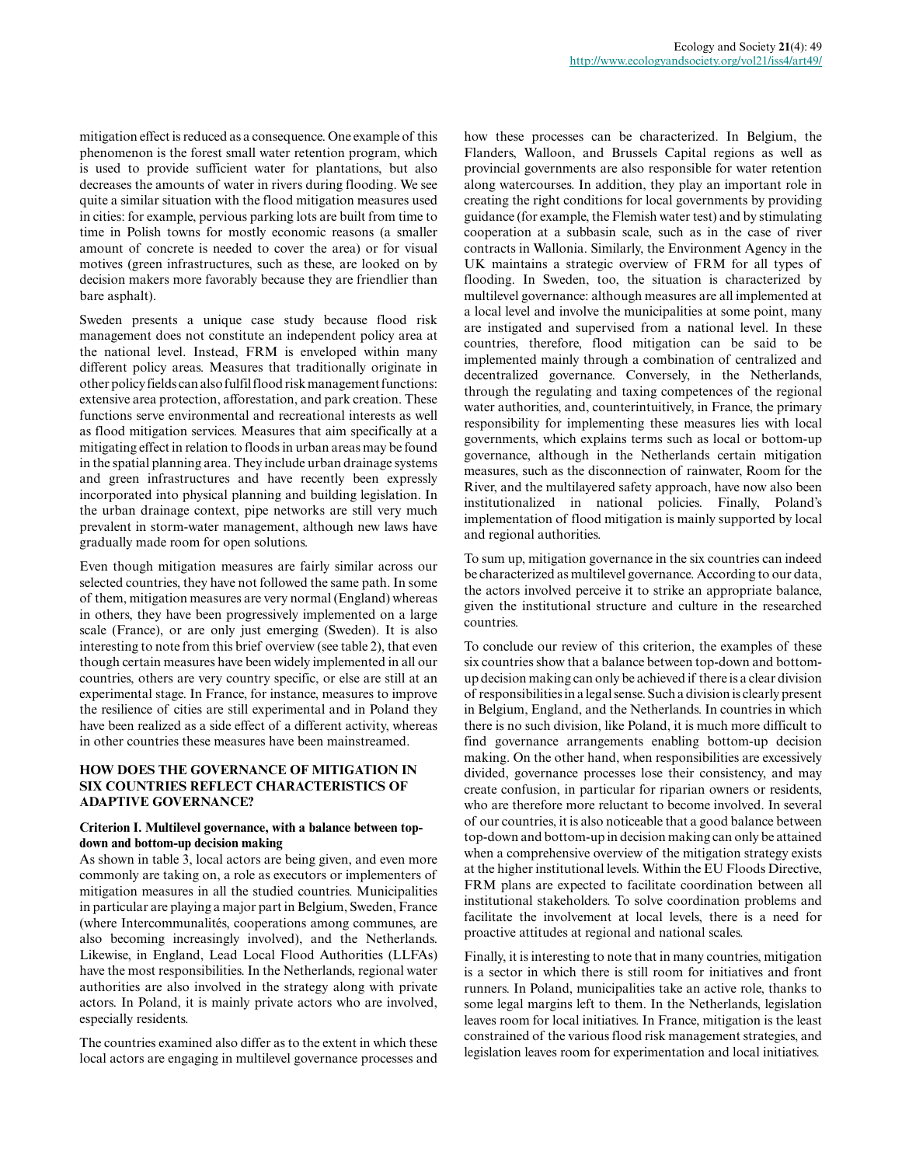mitigation effect is reduced as a consequence. One example of this phenomenon is the forest small water retention program, which is used to provide sufficient water for plantations, but also decreases the amounts of water in rivers during flooding. We see quite a similar situation with the flood mitigation measures used in cities: for example, pervious parking lots are built from time to time in Polish towns for mostly economic reasons (a smaller amount of concrete is needed to cover the area) or for visual motives (green infrastructures, such as these, are looked on by decision makers more favorably because they are friendlier than bare asphalt).

Sweden presents a unique case study because flood risk management does not constitute an independent policy area at the national level. Instead, FRM is enveloped within many different policy areas. Measures that traditionally originate in other policy fields can also fulfil flood risk management functions: extensive area protection, afforestation, and park creation. These functions serve environmental and recreational interests as well as flood mitigation services. Measures that aim specifically at a mitigating effect in relation to floods in urban areas may be found in the spatial planning area. They include urban drainage systems and green infrastructures and have recently been expressly incorporated into physical planning and building legislation. In the urban drainage context, pipe networks are still very much prevalent in storm-water management, although new laws have gradually made room for open solutions.

Even though mitigation measures are fairly similar across our selected countries, they have not followed the same path. In some of them, mitigation measures are very normal (England) whereas in others, they have been progressively implemented on a large scale (France), or are only just emerging (Sweden). It is also interesting to note from this brief overview (see table 2), that even though certain measures have been widely implemented in all our countries, others are very country specific, or else are still at an experimental stage. In France, for instance, measures to improve the resilience of cities are still experimental and in Poland they have been realized as a side effect of a different activity, whereas in other countries these measures have been mainstreamed.

## **HOW DOES THE GOVERNANCE OF MITIGATION IN SIX COUNTRIES REFLECT CHARACTERISTICS OF ADAPTIVE GOVERNANCE?**

## **Criterion I. Multilevel governance, with a balance between topdown and bottom-up decision making**

As shown in table 3, local actors are being given, and even more commonly are taking on, a role as executors or implementers of mitigation measures in all the studied countries. Municipalities in particular are playing a major part in Belgium, Sweden, France (where Intercommunalités, cooperations among communes, are also becoming increasingly involved), and the Netherlands. Likewise, in England, Lead Local Flood Authorities (LLFAs) have the most responsibilities. In the Netherlands, regional water authorities are also involved in the strategy along with private actors. In Poland, it is mainly private actors who are involved, especially residents.

The countries examined also differ as to the extent in which these local actors are engaging in multilevel governance processes and how these processes can be characterized. In Belgium, the Flanders, Walloon, and Brussels Capital regions as well as provincial governments are also responsible for water retention along watercourses. In addition, they play an important role in creating the right conditions for local governments by providing guidance (for example, the Flemish water test) and by stimulating cooperation at a subbasin scale, such as in the case of river contracts in Wallonia. Similarly, the Environment Agency in the UK maintains a strategic overview of FRM for all types of flooding. In Sweden, too, the situation is characterized by multilevel governance: although measures are all implemented at a local level and involve the municipalities at some point, many are instigated and supervised from a national level. In these countries, therefore, flood mitigation can be said to be implemented mainly through a combination of centralized and decentralized governance. Conversely, in the Netherlands, through the regulating and taxing competences of the regional water authorities, and, counterintuitively, in France, the primary responsibility for implementing these measures lies with local governments, which explains terms such as local or bottom-up governance, although in the Netherlands certain mitigation measures, such as the disconnection of rainwater, Room for the River, and the multilayered safety approach, have now also been institutionalized in national policies. Finally, Poland's implementation of flood mitigation is mainly supported by local and regional authorities.

To sum up, mitigation governance in the six countries can indeed be characterized as multilevel governance. According to our data, the actors involved perceive it to strike an appropriate balance, given the institutional structure and culture in the researched countries.

To conclude our review of this criterion, the examples of these six countries show that a balance between top-down and bottomup decision making can only be achieved if there is a clear division of responsibilities in a legal sense. Such a division is clearly present in Belgium, England, and the Netherlands. In countries in which there is no such division, like Poland, it is much more difficult to find governance arrangements enabling bottom-up decision making. On the other hand, when responsibilities are excessively divided, governance processes lose their consistency, and may create confusion, in particular for riparian owners or residents, who are therefore more reluctant to become involved. In several of our countries, it is also noticeable that a good balance between top-down and bottom-up in decision making can only be attained when a comprehensive overview of the mitigation strategy exists at the higher institutional levels. Within the EU Floods Directive, FRM plans are expected to facilitate coordination between all institutional stakeholders. To solve coordination problems and facilitate the involvement at local levels, there is a need for proactive attitudes at regional and national scales.

Finally, it is interesting to note that in many countries, mitigation is a sector in which there is still room for initiatives and front runners. In Poland, municipalities take an active role, thanks to some legal margins left to them. In the Netherlands, legislation leaves room for local initiatives. In France, mitigation is the least constrained of the various flood risk management strategies, and legislation leaves room for experimentation and local initiatives.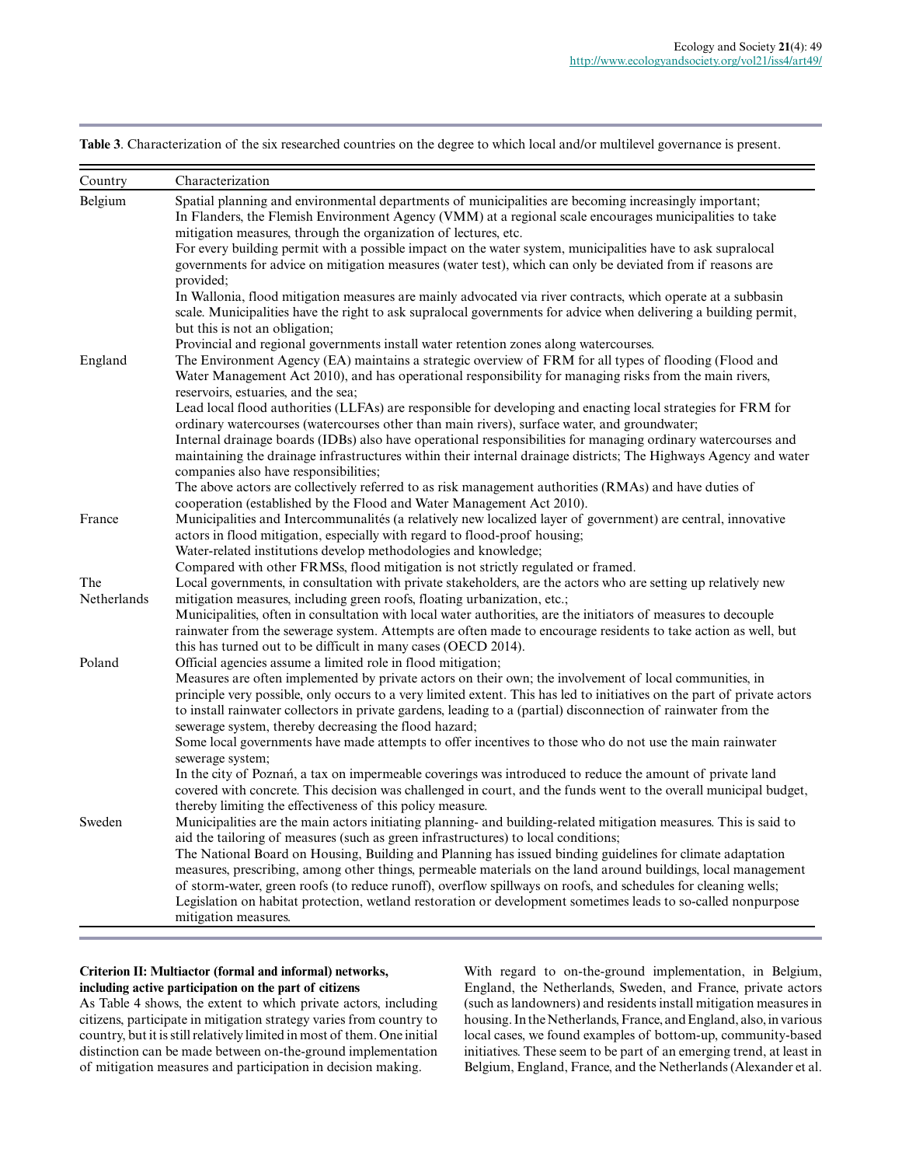| Country     | Characterization                                                                                                                                                                                                                                                                                                                                                                                                                                              |
|-------------|---------------------------------------------------------------------------------------------------------------------------------------------------------------------------------------------------------------------------------------------------------------------------------------------------------------------------------------------------------------------------------------------------------------------------------------------------------------|
| Belgium     | Spatial planning and environmental departments of municipalities are becoming increasingly important;<br>In Flanders, the Flemish Environment Agency (VMM) at a regional scale encourages municipalities to take<br>mitigation measures, through the organization of lectures, etc.                                                                                                                                                                           |
|             | For every building permit with a possible impact on the water system, municipalities have to ask supralocal<br>governments for advice on mitigation measures (water test), which can only be deviated from if reasons are                                                                                                                                                                                                                                     |
|             | provided;<br>In Wallonia, flood mitigation measures are mainly advocated via river contracts, which operate at a subbasin<br>scale. Municipalities have the right to ask supralocal governments for advice when delivering a building permit,<br>but this is not an obligation;                                                                                                                                                                               |
|             | Provincial and regional governments install water retention zones along watercourses.                                                                                                                                                                                                                                                                                                                                                                         |
| England     | The Environment Agency (EA) maintains a strategic overview of FRM for all types of flooding (Flood and<br>Water Management Act 2010), and has operational responsibility for managing risks from the main rivers,                                                                                                                                                                                                                                             |
|             | reservoirs, estuaries, and the sea;<br>Lead local flood authorities (LLFAs) are responsible for developing and enacting local strategies for FRM for<br>ordinary watercourses (watercourses other than main rivers), surface water, and groundwater;                                                                                                                                                                                                          |
|             | Internal drainage boards (IDBs) also have operational responsibilities for managing ordinary watercourses and<br>maintaining the drainage infrastructures within their internal drainage districts; The Highways Agency and water<br>companies also have responsibilities;                                                                                                                                                                                    |
|             | The above actors are collectively referred to as risk management authorities (RMAs) and have duties of<br>cooperation (established by the Flood and Water Management Act 2010).                                                                                                                                                                                                                                                                               |
| France      | Municipalities and Intercommunalités (a relatively new localized layer of government) are central, innovative<br>actors in flood mitigation, especially with regard to flood-proof housing;                                                                                                                                                                                                                                                                   |
|             | Water-related institutions develop methodologies and knowledge;                                                                                                                                                                                                                                                                                                                                                                                               |
| The         | Compared with other FRMSs, flood mitigation is not strictly regulated or framed.<br>Local governments, in consultation with private stakeholders, are the actors who are setting up relatively new                                                                                                                                                                                                                                                            |
| Netherlands | mitigation measures, including green roofs, floating urbanization, etc.;                                                                                                                                                                                                                                                                                                                                                                                      |
|             | Municipalities, often in consultation with local water authorities, are the initiators of measures to decouple<br>rainwater from the sewerage system. Attempts are often made to encourage residents to take action as well, but<br>this has turned out to be difficult in many cases (OECD 2014).                                                                                                                                                            |
| Poland      | Official agencies assume a limited role in flood mitigation;                                                                                                                                                                                                                                                                                                                                                                                                  |
|             | Measures are often implemented by private actors on their own; the involvement of local communities, in<br>principle very possible, only occurs to a very limited extent. This has led to initiatives on the part of private actors<br>to install rainwater collectors in private gardens, leading to a (partial) disconnection of rainwater from the<br>sewerage system, thereby decreasing the flood hazard;                                                |
|             | Some local governments have made attempts to offer incentives to those who do not use the main rainwater<br>sewerage system;                                                                                                                                                                                                                                                                                                                                  |
|             | In the city of Poznań, a tax on impermeable coverings was introduced to reduce the amount of private land<br>covered with concrete. This decision was challenged in court, and the funds went to the overall municipal budget,<br>thereby limiting the effectiveness of this policy measure.                                                                                                                                                                  |
| Sweden      | Municipalities are the main actors initiating planning- and building-related mitigation measures. This is said to<br>aid the tailoring of measures (such as green infrastructures) to local conditions;                                                                                                                                                                                                                                                       |
|             | The National Board on Housing, Building and Planning has issued binding guidelines for climate adaptation<br>measures, prescribing, among other things, permeable materials on the land around buildings, local management<br>of storm-water, green roofs (to reduce runoff), overflow spillways on roofs, and schedules for cleaning wells;<br>Legislation on habitat protection, wetland restoration or development sometimes leads to so-called nonpurpose |
|             | mitigation measures.                                                                                                                                                                                                                                                                                                                                                                                                                                          |

**Table 3**. Characterization of the six researched countries on the degree to which local and/or multilevel governance is present.

# **Criterion II: Multiactor (formal and informal) networks, including active participation on the part of citizens**

As Table 4 shows, the extent to which private actors, including citizens, participate in mitigation strategy varies from country to country, but it is still relatively limited in most of them. One initial distinction can be made between on-the-ground implementation of mitigation measures and participation in decision making.

With regard to on-the-ground implementation, in Belgium, England, the Netherlands, Sweden, and France, private actors (such as landowners) and residents install mitigation measures in housing. In the Netherlands, France, and England, also, in various local cases, we found examples of bottom-up, community-based initiatives. These seem to be part of an emerging trend, at least in Belgium, England, France, and the Netherlands (Alexander et al.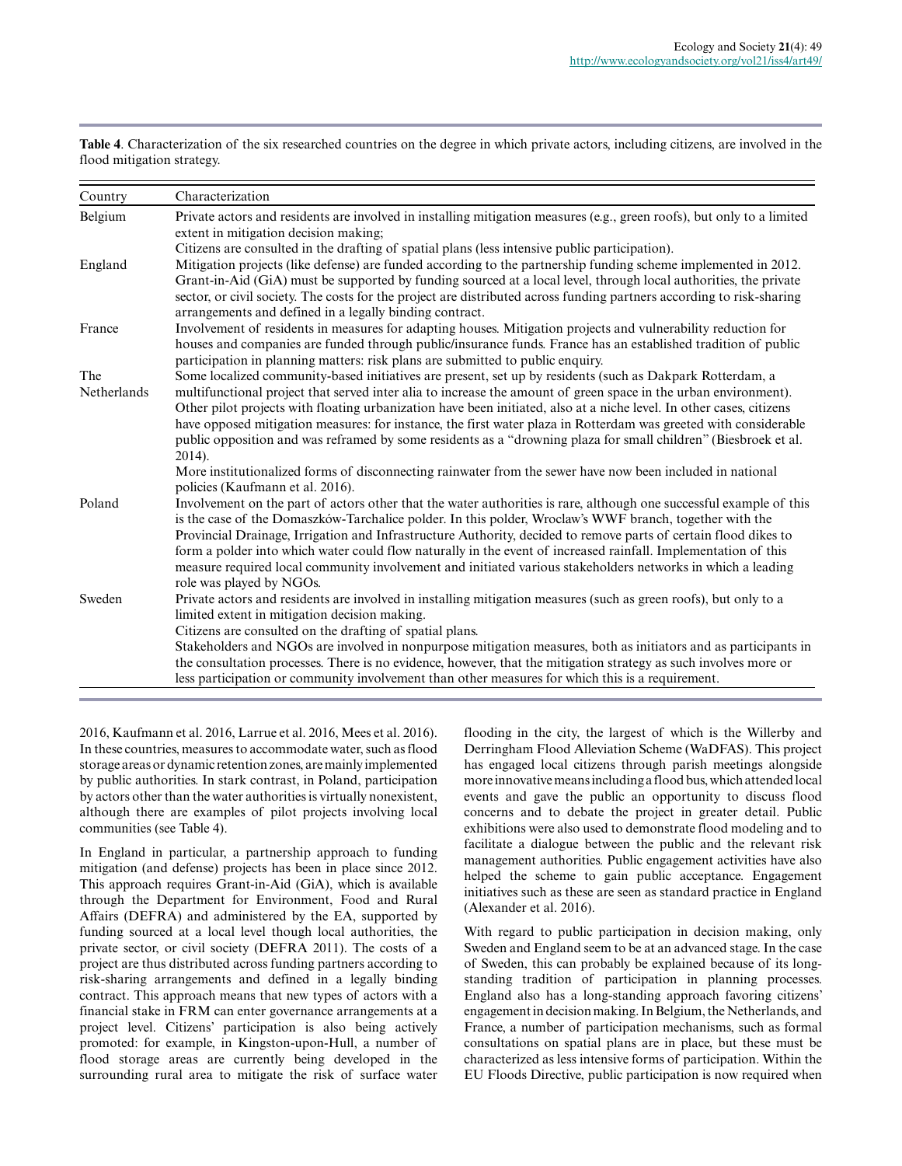**Table 4**. Characterization of the six researched countries on the degree in which private actors, including citizens, are involved in the flood mitigation strategy.

| Country            | Characterization                                                                                                                                                                                                                                                                                                                                                                                                                                                                                                                                                                                                                                                                                                                                       |
|--------------------|--------------------------------------------------------------------------------------------------------------------------------------------------------------------------------------------------------------------------------------------------------------------------------------------------------------------------------------------------------------------------------------------------------------------------------------------------------------------------------------------------------------------------------------------------------------------------------------------------------------------------------------------------------------------------------------------------------------------------------------------------------|
| Belgium            | Private actors and residents are involved in installing mitigation measures (e.g., green roofs), but only to a limited<br>extent in mitigation decision making;                                                                                                                                                                                                                                                                                                                                                                                                                                                                                                                                                                                        |
|                    | Citizens are consulted in the drafting of spatial plans (less intensive public participation).                                                                                                                                                                                                                                                                                                                                                                                                                                                                                                                                                                                                                                                         |
| England            | Mitigation projects (like defense) are funded according to the partnership funding scheme implemented in 2012.<br>Grant-in-Aid (GiA) must be supported by funding sourced at a local level, through local authorities, the private<br>sector, or civil society. The costs for the project are distributed across funding partners according to risk-sharing<br>arrangements and defined in a legally binding contract.                                                                                                                                                                                                                                                                                                                                 |
| France             | Involvement of residents in measures for adapting houses. Mitigation projects and vulnerability reduction for<br>houses and companies are funded through public/insurance funds. France has an established tradition of public<br>participation in planning matters: risk plans are submitted to public enquiry.                                                                                                                                                                                                                                                                                                                                                                                                                                       |
| The<br>Netherlands | Some localized community-based initiatives are present, set up by residents (such as Dakpark Rotterdam, a<br>multifunctional project that served inter alia to increase the amount of green space in the urban environment).<br>Other pilot projects with floating urbanization have been initiated, also at a niche level. In other cases, citizens<br>have opposed mitigation measures: for instance, the first water plaza in Rotterdam was greeted with considerable<br>public opposition and was reframed by some residents as a "drowning plaza for small children" (Biesbroek et al.<br>2014).<br>More institutionalized forms of disconnecting rainwater from the sewer have now been included in national<br>policies (Kaufmann et al. 2016). |
| Poland             | Involvement on the part of actors other that the water authorities is rare, although one successful example of this<br>is the case of the Domaszków-Tarchalice polder. In this polder, Wroclaw's WWF branch, together with the<br>Provincial Drainage, Irrigation and Infrastructure Authority, decided to remove parts of certain flood dikes to<br>form a polder into which water could flow naturally in the event of increased rainfall. Implementation of this<br>measure required local community involvement and initiated various stakeholders networks in which a leading<br>role was played by NGOs.                                                                                                                                         |
| Sweden             | Private actors and residents are involved in installing mitigation measures (such as green roofs), but only to a<br>limited extent in mitigation decision making.<br>Citizens are consulted on the drafting of spatial plans.<br>Stakeholders and NGOs are involved in nonpurpose mitigation measures, both as initiators and as participants in<br>the consultation processes. There is no evidence, however, that the mitigation strategy as such involves more or<br>less participation or community involvement than other measures for which this is a requirement.                                                                                                                                                                               |

2016, Kaufmann et al. 2016, Larrue et al. 2016, Mees et al. 2016). In these countries, measures to accommodate water, such as flood storage areas or dynamic retention zones, are mainly implemented by public authorities. In stark contrast, in Poland, participation by actors other than the water authorities is virtually nonexistent, although there are examples of pilot projects involving local communities (see Table 4).

In England in particular, a partnership approach to funding mitigation (and defense) projects has been in place since 2012. This approach requires Grant-in-Aid (GiA), which is available through the Department for Environment, Food and Rural Affairs (DEFRA) and administered by the EA, supported by funding sourced at a local level though local authorities, the private sector, or civil society (DEFRA 2011). The costs of a project are thus distributed across funding partners according to risk-sharing arrangements and defined in a legally binding contract. This approach means that new types of actors with a financial stake in FRM can enter governance arrangements at a project level. Citizens' participation is also being actively promoted: for example, in Kingston-upon-Hull, a number of flood storage areas are currently being developed in the surrounding rural area to mitigate the risk of surface water flooding in the city, the largest of which is the Willerby and Derringham Flood Alleviation Scheme (WaDFAS). This project has engaged local citizens through parish meetings alongside more innovative means including a flood bus, which attended local events and gave the public an opportunity to discuss flood concerns and to debate the project in greater detail. Public exhibitions were also used to demonstrate flood modeling and to facilitate a dialogue between the public and the relevant risk management authorities. Public engagement activities have also helped the scheme to gain public acceptance. Engagement initiatives such as these are seen as standard practice in England (Alexander et al. 2016).

With regard to public participation in decision making, only Sweden and England seem to be at an advanced stage. In the case of Sweden, this can probably be explained because of its longstanding tradition of participation in planning processes. England also has a long-standing approach favoring citizens' engagement in decision making. In Belgium, the Netherlands, and France, a number of participation mechanisms, such as formal consultations on spatial plans are in place, but these must be characterized as less intensive forms of participation. Within the EU Floods Directive, public participation is now required when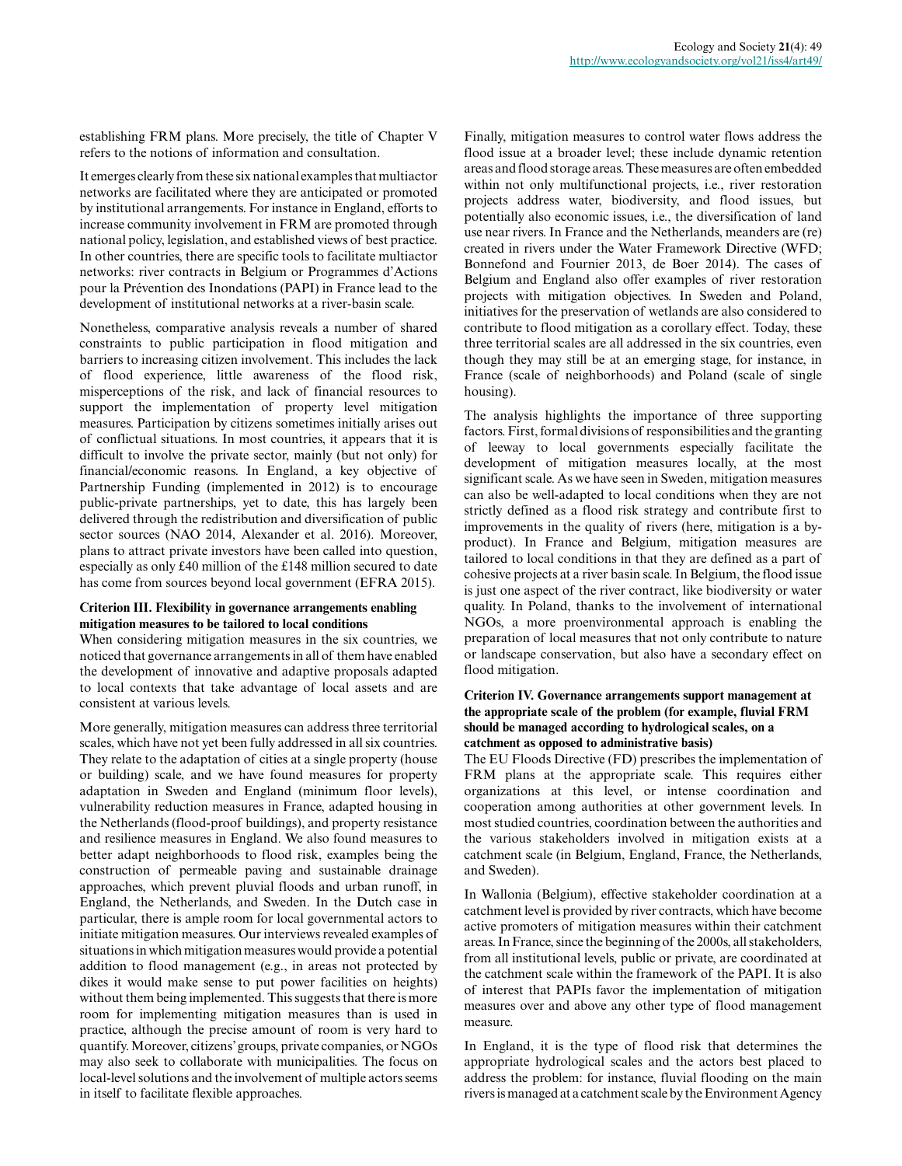establishing FRM plans. More precisely, the title of Chapter V refers to the notions of information and consultation.

It emerges clearly from these six national examples that multiactor networks are facilitated where they are anticipated or promoted by institutional arrangements. For instance in England, efforts to increase community involvement in FRM are promoted through national policy, legislation, and established views of best practice. In other countries, there are specific tools to facilitate multiactor networks: river contracts in Belgium or Programmes d'Actions pour la Prévention des Inondations (PAPI) in France lead to the development of institutional networks at a river-basin scale.

Nonetheless, comparative analysis reveals a number of shared constraints to public participation in flood mitigation and barriers to increasing citizen involvement. This includes the lack of flood experience, little awareness of the flood risk, misperceptions of the risk, and lack of financial resources to support the implementation of property level mitigation measures. Participation by citizens sometimes initially arises out of conflictual situations. In most countries, it appears that it is difficult to involve the private sector, mainly (but not only) for financial/economic reasons. In England, a key objective of Partnership Funding (implemented in 2012) is to encourage public-private partnerships, yet to date, this has largely been delivered through the redistribution and diversification of public sector sources (NAO 2014, Alexander et al. 2016). Moreover, plans to attract private investors have been called into question, especially as only £40 million of the £148 million secured to date has come from sources beyond local government (EFRA 2015).

#### **Criterion III. Flexibility in governance arrangements enabling mitigation measures to be tailored to local conditions**

When considering mitigation measures in the six countries, we noticed that governance arrangements in all of them have enabled the development of innovative and adaptive proposals adapted to local contexts that take advantage of local assets and are consistent at various levels.

More generally, mitigation measures can address three territorial scales, which have not yet been fully addressed in all six countries. They relate to the adaptation of cities at a single property (house or building) scale, and we have found measures for property adaptation in Sweden and England (minimum floor levels), vulnerability reduction measures in France, adapted housing in the Netherlands (flood-proof buildings), and property resistance and resilience measures in England. We also found measures to better adapt neighborhoods to flood risk, examples being the construction of permeable paving and sustainable drainage approaches, which prevent pluvial floods and urban runoff, in England, the Netherlands, and Sweden. In the Dutch case in particular, there is ample room for local governmental actors to initiate mitigation measures. Our interviews revealed examples of situations in which mitigation measures would provide a potential addition to flood management (e.g., in areas not protected by dikes it would make sense to put power facilities on heights) without them being implemented. This suggests that there is more room for implementing mitigation measures than is used in practice, although the precise amount of room is very hard to quantify. Moreover, citizens' groups, private companies, or NGOs may also seek to collaborate with municipalities. The focus on local-level solutions and the involvement of multiple actors seems in itself to facilitate flexible approaches.

Finally, mitigation measures to control water flows address the flood issue at a broader level; these include dynamic retention areas and flood storage areas. These measures are often embedded within not only multifunctional projects, i.e., river restoration projects address water, biodiversity, and flood issues, but potentially also economic issues, i.e., the diversification of land use near rivers. In France and the Netherlands, meanders are (re) created in rivers under the Water Framework Directive (WFD; Bonnefond and Fournier 2013, de Boer 2014). The cases of Belgium and England also offer examples of river restoration projects with mitigation objectives. In Sweden and Poland, initiatives for the preservation of wetlands are also considered to contribute to flood mitigation as a corollary effect. Today, these three territorial scales are all addressed in the six countries, even though they may still be at an emerging stage, for instance, in France (scale of neighborhoods) and Poland (scale of single housing).

The analysis highlights the importance of three supporting factors. First, formal divisions of responsibilities and the granting of leeway to local governments especially facilitate the development of mitigation measures locally, at the most significant scale. As we have seen in Sweden, mitigation measures can also be well-adapted to local conditions when they are not strictly defined as a flood risk strategy and contribute first to improvements in the quality of rivers (here, mitigation is a byproduct). In France and Belgium, mitigation measures are tailored to local conditions in that they are defined as a part of cohesive projects at a river basin scale. In Belgium, the flood issue is just one aspect of the river contract, like biodiversity or water quality. In Poland, thanks to the involvement of international NGOs, a more proenvironmental approach is enabling the preparation of local measures that not only contribute to nature or landscape conservation, but also have a secondary effect on flood mitigation.

## **Criterion IV. Governance arrangements support management at the appropriate scale of the problem (for example, fluvial FRM should be managed according to hydrological scales, on a catchment as opposed to administrative basis)**

The EU Floods Directive (FD) prescribes the implementation of FRM plans at the appropriate scale. This requires either organizations at this level, or intense coordination and cooperation among authorities at other government levels. In most studied countries, coordination between the authorities and the various stakeholders involved in mitigation exists at a catchment scale (in Belgium, England, France, the Netherlands, and Sweden).

In Wallonia (Belgium), effective stakeholder coordination at a catchment level is provided by river contracts, which have become active promoters of mitigation measures within their catchment areas. In France, since the beginning of the 2000s, all stakeholders, from all institutional levels, public or private, are coordinated at the catchment scale within the framework of the PAPI. It is also of interest that PAPIs favor the implementation of mitigation measures over and above any other type of flood management measure.

In England, it is the type of flood risk that determines the appropriate hydrological scales and the actors best placed to address the problem: for instance, fluvial flooding on the main rivers is managed at a catchment scale by the Environment Agency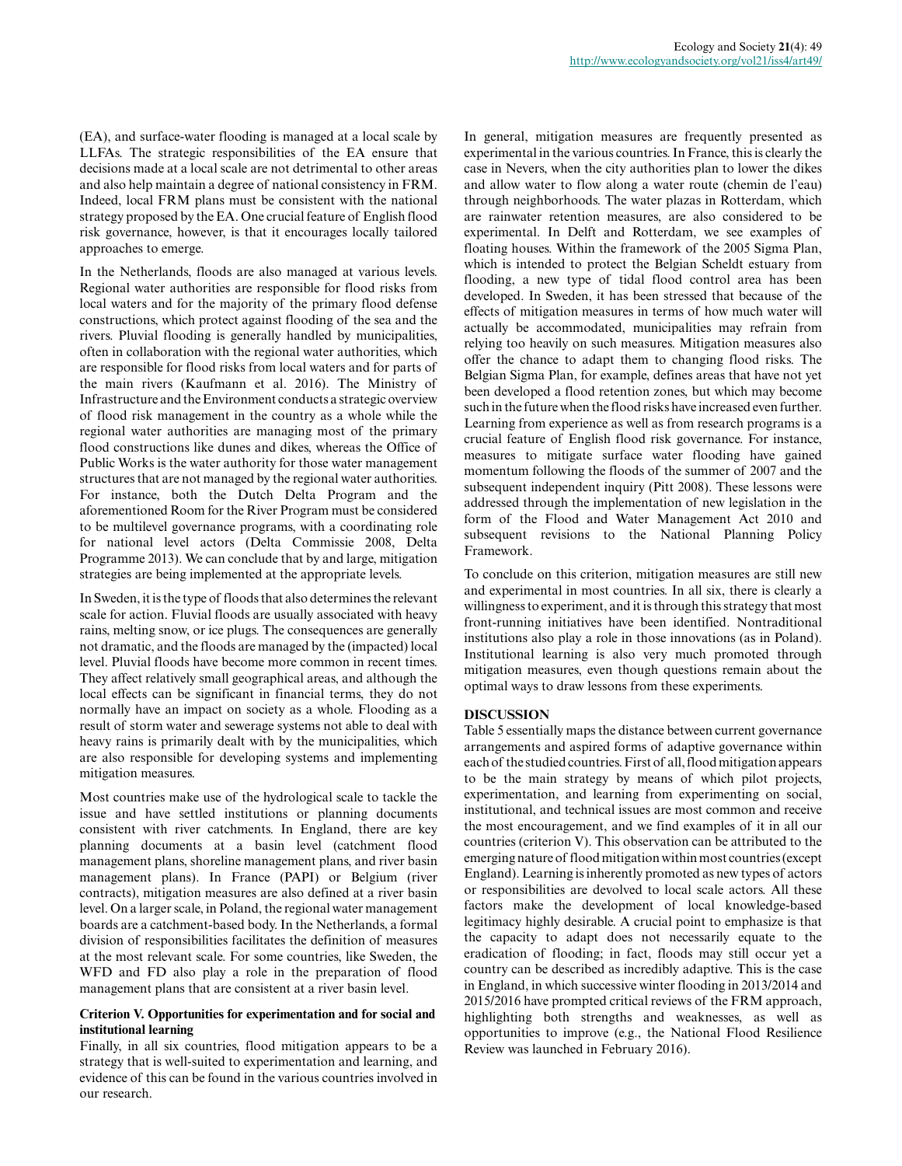(EA), and surface-water flooding is managed at a local scale by LLFAs. The strategic responsibilities of the EA ensure that decisions made at a local scale are not detrimental to other areas and also help maintain a degree of national consistency in FRM. Indeed, local FRM plans must be consistent with the national strategy proposed by the EA. One crucial feature of English flood risk governance, however, is that it encourages locally tailored approaches to emerge.

In the Netherlands, floods are also managed at various levels. Regional water authorities are responsible for flood risks from local waters and for the majority of the primary flood defense constructions, which protect against flooding of the sea and the rivers. Pluvial flooding is generally handled by municipalities, often in collaboration with the regional water authorities, which are responsible for flood risks from local waters and for parts of the main rivers (Kaufmann et al. 2016). The Ministry of Infrastructure and the Environment conducts a strategic overview of flood risk management in the country as a whole while the regional water authorities are managing most of the primary flood constructions like dunes and dikes, whereas the Office of Public Works is the water authority for those water management structures that are not managed by the regional water authorities. For instance, both the Dutch Delta Program and the aforementioned Room for the River Program must be considered to be multilevel governance programs, with a coordinating role for national level actors (Delta Commissie 2008, Delta Programme 2013). We can conclude that by and large, mitigation strategies are being implemented at the appropriate levels.

In Sweden, it is the type of floods that also determines the relevant scale for action. Fluvial floods are usually associated with heavy rains, melting snow, or ice plugs. The consequences are generally not dramatic, and the floods are managed by the (impacted) local level. Pluvial floods have become more common in recent times. They affect relatively small geographical areas, and although the local effects can be significant in financial terms, they do not normally have an impact on society as a whole. Flooding as a result of storm water and sewerage systems not able to deal with heavy rains is primarily dealt with by the municipalities, which are also responsible for developing systems and implementing mitigation measures.

Most countries make use of the hydrological scale to tackle the issue and have settled institutions or planning documents consistent with river catchments. In England, there are key planning documents at a basin level (catchment flood management plans, shoreline management plans, and river basin management plans). In France (PAPI) or Belgium (river contracts), mitigation measures are also defined at a river basin level. On a larger scale, in Poland, the regional water management boards are a catchment-based body. In the Netherlands, a formal division of responsibilities facilitates the definition of measures at the most relevant scale. For some countries, like Sweden, the WFD and FD also play a role in the preparation of flood management plans that are consistent at a river basin level.

## **Criterion V. Opportunities for experimentation and for social and institutional learning**

Finally, in all six countries, flood mitigation appears to be a strategy that is well-suited to experimentation and learning, and evidence of this can be found in the various countries involved in our research.

In general, mitigation measures are frequently presented as experimental in the various countries. In France, this is clearly the case in Nevers, when the city authorities plan to lower the dikes and allow water to flow along a water route (chemin de l'eau) through neighborhoods. The water plazas in Rotterdam, which are rainwater retention measures, are also considered to be experimental. In Delft and Rotterdam, we see examples of floating houses. Within the framework of the 2005 Sigma Plan, which is intended to protect the Belgian Scheldt estuary from flooding, a new type of tidal flood control area has been developed. In Sweden, it has been stressed that because of the effects of mitigation measures in terms of how much water will actually be accommodated, municipalities may refrain from relying too heavily on such measures. Mitigation measures also offer the chance to adapt them to changing flood risks. The Belgian Sigma Plan, for example, defines areas that have not yet been developed a flood retention zones, but which may become such in the future when the flood risks have increased even further. Learning from experience as well as from research programs is a crucial feature of English flood risk governance. For instance, measures to mitigate surface water flooding have gained momentum following the floods of the summer of 2007 and the subsequent independent inquiry (Pitt 2008). These lessons were addressed through the implementation of new legislation in the form of the Flood and Water Management Act 2010 and subsequent revisions to the National Planning Policy Framework.

To conclude on this criterion, mitigation measures are still new and experimental in most countries. In all six, there is clearly a willingness to experiment, and it is through this strategy that most front-running initiatives have been identified. Nontraditional institutions also play a role in those innovations (as in Poland). Institutional learning is also very much promoted through mitigation measures, even though questions remain about the optimal ways to draw lessons from these experiments.

# **DISCUSSION**

Table 5 essentially maps the distance between current governance arrangements and aspired forms of adaptive governance within each of the studied countries. First of all, flood mitigation appears to be the main strategy by means of which pilot projects, experimentation, and learning from experimenting on social, institutional, and technical issues are most common and receive the most encouragement, and we find examples of it in all our countries (criterion V). This observation can be attributed to the emerging nature of flood mitigation within most countries (except England). Learning is inherently promoted as new types of actors or responsibilities are devolved to local scale actors. All these factors make the development of local knowledge-based legitimacy highly desirable. A crucial point to emphasize is that the capacity to adapt does not necessarily equate to the eradication of flooding; in fact, floods may still occur yet a country can be described as incredibly adaptive. This is the case in England, in which successive winter flooding in 2013/2014 and 2015/2016 have prompted critical reviews of the FRM approach, highlighting both strengths and weaknesses, as well as opportunities to improve (e.g., the National Flood Resilience Review was launched in February 2016).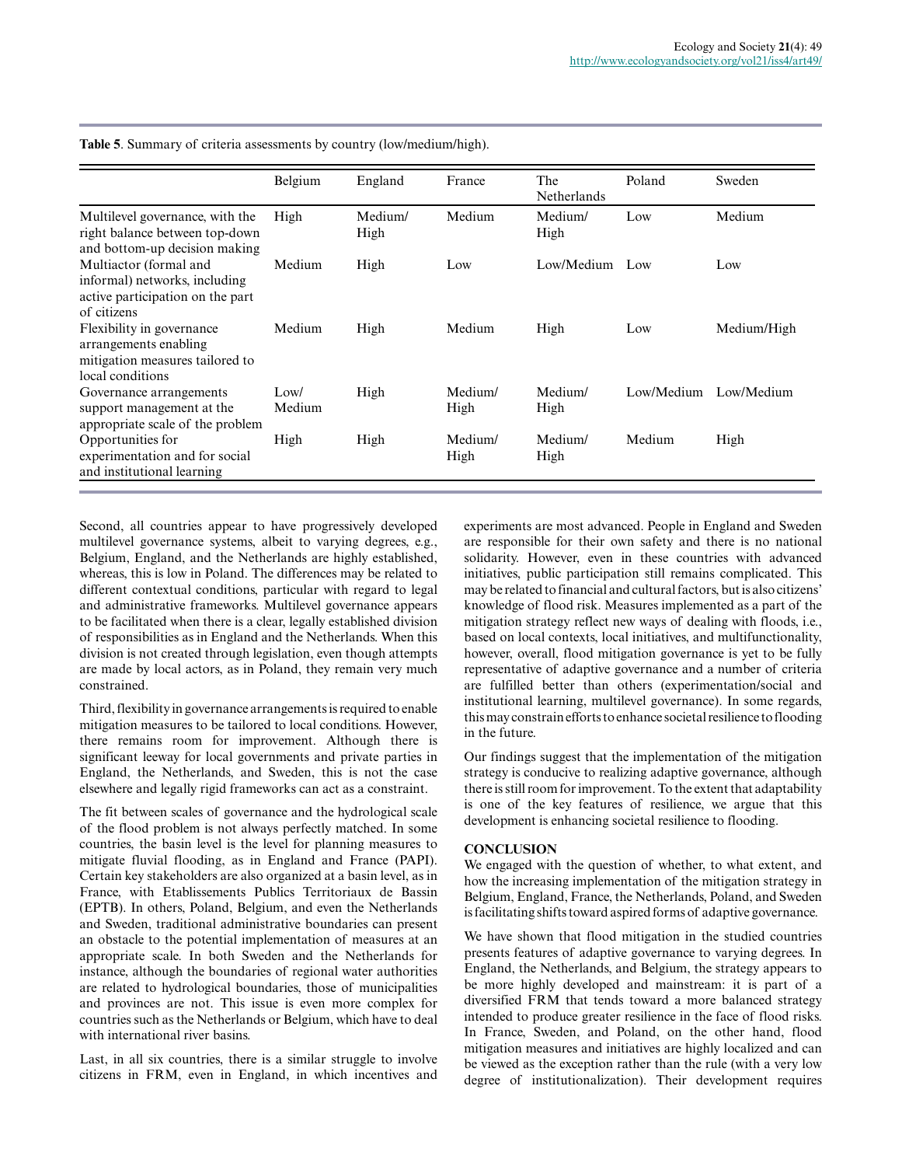|                                                                                                            | Belgium        | England         | France          | The<br>Netherlands | Poland     | Sweden      |
|------------------------------------------------------------------------------------------------------------|----------------|-----------------|-----------------|--------------------|------------|-------------|
| Multilevel governance, with the<br>right balance between top-down<br>and bottom-up decision making         | High           | Medium/<br>High | Medium          | Medium/<br>High    | Low        | Medium      |
| Multiactor (formal and<br>informal) networks, including<br>active participation on the part<br>of citizens | Medium         | High            | Low             | Low/Medium Low     |            | Low         |
| Flexibility in governance<br>arrangements enabling<br>mitigation measures tailored to<br>local conditions  | Medium         | High            | Medium          | High               | Low        | Medium/High |
| Governance arrangements<br>support management at the<br>appropriate scale of the problem                   | Low/<br>Medium | High            | Medium/<br>High | Medium/<br>High    | Low/Medium | Low/Medium  |
| Opportunities for<br>experimentation and for social<br>and institutional learning                          | High           | High            | Medium/<br>High | Medium/<br>High    | Medium     | High        |

**Table 5**. Summary of criteria assessments by country (low/medium/high).

Second, all countries appear to have progressively developed multilevel governance systems, albeit to varying degrees, e.g., Belgium, England, and the Netherlands are highly established, whereas, this is low in Poland. The differences may be related to different contextual conditions, particular with regard to legal and administrative frameworks. Multilevel governance appears to be facilitated when there is a clear, legally established division of responsibilities as in England and the Netherlands. When this division is not created through legislation, even though attempts are made by local actors, as in Poland, they remain very much constrained.

Third, flexibility in governance arrangements is required to enable mitigation measures to be tailored to local conditions. However, there remains room for improvement. Although there is significant leeway for local governments and private parties in England, the Netherlands, and Sweden, this is not the case elsewhere and legally rigid frameworks can act as a constraint.

The fit between scales of governance and the hydrological scale of the flood problem is not always perfectly matched. In some countries, the basin level is the level for planning measures to mitigate fluvial flooding, as in England and France (PAPI). Certain key stakeholders are also organized at a basin level, as in France, with Etablissements Publics Territoriaux de Bassin (EPTB). In others, Poland, Belgium, and even the Netherlands and Sweden, traditional administrative boundaries can present an obstacle to the potential implementation of measures at an appropriate scale. In both Sweden and the Netherlands for instance, although the boundaries of regional water authorities are related to hydrological boundaries, those of municipalities and provinces are not. This issue is even more complex for countries such as the Netherlands or Belgium, which have to deal with international river basins.

Last, in all six countries, there is a similar struggle to involve citizens in FRM, even in England, in which incentives and

experiments are most advanced. People in England and Sweden are responsible for their own safety and there is no national solidarity. However, even in these countries with advanced initiatives, public participation still remains complicated. This may be related to financial and cultural factors, but is also citizens' knowledge of flood risk. Measures implemented as a part of the mitigation strategy reflect new ways of dealing with floods, i.e., based on local contexts, local initiatives, and multifunctionality, however, overall, flood mitigation governance is yet to be fully representative of adaptive governance and a number of criteria are fulfilled better than others (experimentation/social and institutional learning, multilevel governance). In some regards, this may constrain efforts to enhance societal resilience to flooding in the future.

Our findings suggest that the implementation of the mitigation strategy is conducive to realizing adaptive governance, although there is still room for improvement. To the extent that adaptability is one of the key features of resilience, we argue that this development is enhancing societal resilience to flooding.

# **CONCLUSION**

We engaged with the question of whether, to what extent, and how the increasing implementation of the mitigation strategy in Belgium, England, France, the Netherlands, Poland, and Sweden is facilitating shifts toward aspired forms of adaptive governance.

We have shown that flood mitigation in the studied countries presents features of adaptive governance to varying degrees. In England, the Netherlands, and Belgium, the strategy appears to be more highly developed and mainstream: it is part of a diversified FRM that tends toward a more balanced strategy intended to produce greater resilience in the face of flood risks. In France, Sweden, and Poland, on the other hand, flood mitigation measures and initiatives are highly localized and can be viewed as the exception rather than the rule (with a very low degree of institutionalization). Their development requires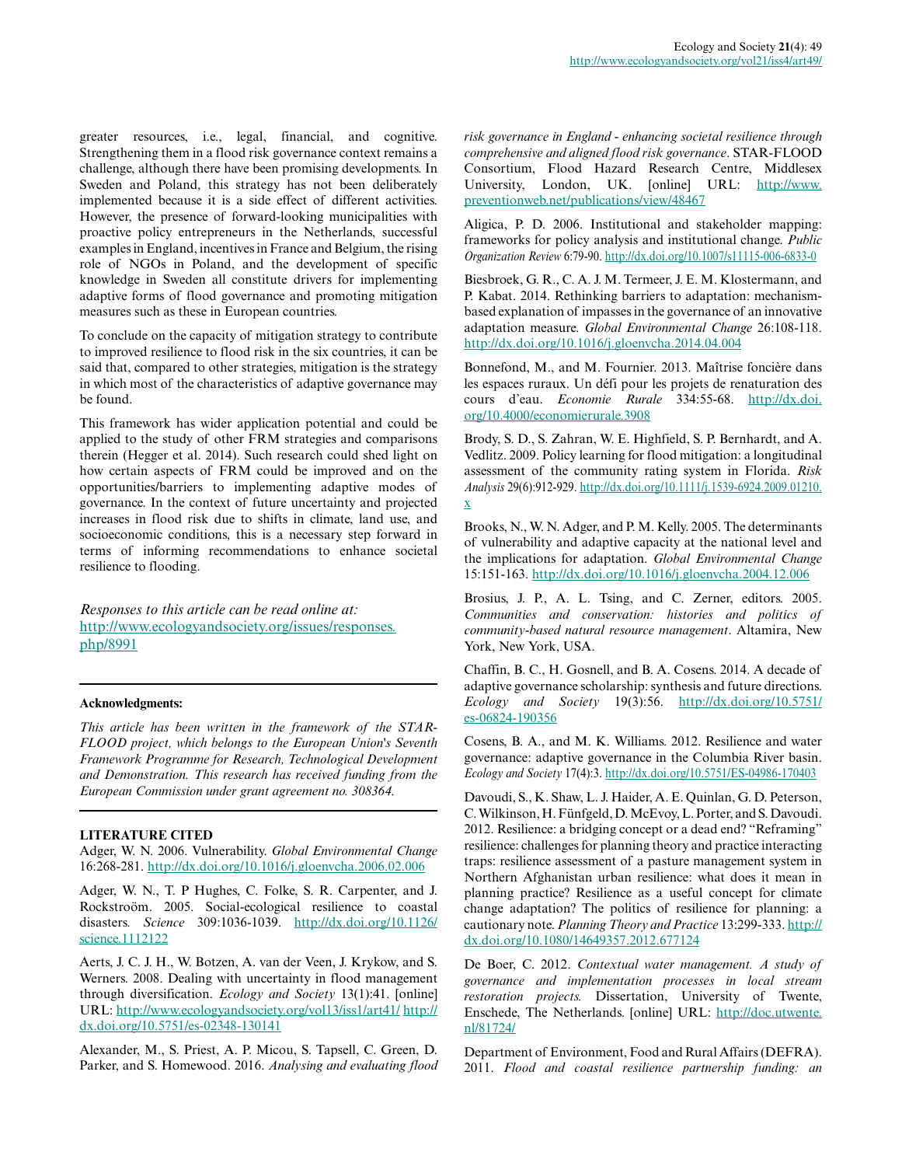greater resources, i.e., legal, financial, and cognitive. Strengthening them in a flood risk governance context remains a challenge, although there have been promising developments. In Sweden and Poland, this strategy has not been deliberately implemented because it is a side effect of different activities. However, the presence of forward-looking municipalities with proactive policy entrepreneurs in the Netherlands, successful examples in England, incentives in France and Belgium, the rising role of NGOs in Poland, and the development of specific knowledge in Sweden all constitute drivers for implementing adaptive forms of flood governance and promoting mitigation measures such as these in European countries.

To conclude on the capacity of mitigation strategy to contribute to improved resilience to flood risk in the six countries, it can be said that, compared to other strategies, mitigation is the strategy in which most of the characteristics of adaptive governance may be found.

This framework has wider application potential and could be applied to the study of other FRM strategies and comparisons therein (Hegger et al. 2014). Such research could shed light on how certain aspects of FRM could be improved and on the opportunities/barriers to implementing adaptive modes of governance. In the context of future uncertainty and projected increases in flood risk due to shifts in climate, land use, and socioeconomic conditions, this is a necessary step forward in terms of informing recommendations to enhance societal resilience to flooding.

*Responses to this article can be read online at:* [http://www.ecologyandsociety.org/issues/responses.](http://www.ecologyandsociety.org/issues/responses.php/8991) [php/8991](http://www.ecologyandsociety.org/issues/responses.php/8991)

#### **Acknowledgments:**

*This article has been written in the framework of the STAR-FLOOD project, which belongs to the European Union's Seventh Framework Programme for Research, Technological Development and Demonstration. This research has received funding from the European Commission under grant agreement no. 308364.*

#### **LITERATURE CITED**

Adger, W. N. 2006. Vulnerability. *Global Environmental Change* 16:268-281. [http://dx.doi.org/10.1016/j.gloenvcha.2006.02.006](http://dx.doi.org/10.1016%2Fj.gloenvcha.2006.02.006)

Adger, W. N., T. P Hughes, C. Folke, S. R. Carpenter, and J. Rockstroöm. 2005. Social-ecological resilience to coastal disasters. *Science* 309:1036-1039. [http://dx.doi.org/10.1126/](http://dx.doi.org/10.1126%2Fscience.1112122) [science.1112122](http://dx.doi.org/10.1126%2Fscience.1112122)

Aerts, J. C. J. H., W. Botzen, A. van der Veen, J. Krykow, and S. Werners. 2008. Dealing with uncertainty in flood management through diversification. *Ecology and Society* 13(1):41. [online] URL:<http://www.ecologyandsociety.org/vol13/iss1/art41/> [http://](http://dx.doi.org/10.5751%2Fes-02348-130141) [dx.doi.org/10.5751/es-02348-130141](http://dx.doi.org/10.5751%2Fes-02348-130141) 

Alexander, M., S. Priest, A. P. Micou, S. Tapsell, C. Green, D. Parker, and S. Homewood. 2016. *Analysing and evaluating flood* *risk governance in England - enhancing societal resilience through comprehensive and aligned flood risk governance*. STAR-FLOOD Consortium, Flood Hazard Research Centre, Middlesex University, London, UK. [online] URL: [http://www.](http://www.preventionweb.net/publications/view/48467) [preventionweb.net/publications/view/48467](http://www.preventionweb.net/publications/view/48467) 

Aligica, P. D. 2006. Institutional and stakeholder mapping: frameworks for policy analysis and institutional change. *Public Organization Review* 6:79-90. [http://dx.doi.org/10.1007/s11115-006-6833-0](http://dx.doi.org/10.1007%2Fs11115-006-6833-0)

Biesbroek, G. R., C. A. J. M. Termeer, J. E. M. Klostermann, and P. Kabat. 2014. Rethinking barriers to adaptation: mechanismbased explanation of impasses in the governance of an innovative adaptation measure. *Global Environmental Change* 26:108-118. <http://dx.doi.org/10.1016/j.gloenvcha.2014.04.004>

Bonnefond, M., and M. Fournier. 2013. Maîtrise foncière dans les espaces ruraux. Un défi pour les projets de renaturation des cours d'eau. *Economie Rurale* 334:55-68. [http://dx.doi.](http://dx.doi.org/10.4000%2Feconomierurale.3908) [org/10.4000/economierurale.3908](http://dx.doi.org/10.4000%2Feconomierurale.3908)

Brody, S. D., S. Zahran, W. E. Highfield, S. P. Bernhardt, and A. Vedlitz. 2009. Policy learning for flood mitigation: a longitudinal assessment of the community rating system in Florida. *Risk Analysis* 29(6):912-929. [http://dx.doi.org/10.1111/j.1539-6924.2009.01210.](http://dx.doi.org/10.1111%2Fj.1539-6924.2009.01210.x) [x](http://dx.doi.org/10.1111%2Fj.1539-6924.2009.01210.x) 

Brooks, N., W. N. Adger, and P. M. Kelly. 2005. The determinants of vulnerability and adaptive capacity at the national level and the implications for adaptation. *Global Environmental Change* 15:151-163. [http://dx.doi.org/10.1016/j.gloenvcha.2004.12.006](http://dx.doi.org/10.1016%2Fj.gloenvcha.2004.12.006)

Brosius, J. P., A. L. Tsing, and C. Zerner, editors. 2005. *Communities and conservation: histories and politics of community-based natural resource management*. Altamira, New York, New York, USA.

Chaffin, B. C., H. Gosnell, and B. A. Cosens. 2014. A decade of adaptive governance scholarship: synthesis and future directions. *Ecology and Society* 19(3):56. [http://dx.doi.org/10.5751/](http://dx.doi.org/10.5751%2Fes-06824-190356) [es-06824-190356](http://dx.doi.org/10.5751%2Fes-06824-190356) 

Cosens, B. A., and M. K. Williams. 2012. Resilience and water governance: adaptive governance in the Columbia River basin. *Ecology and Society* 17(4):3. [http://dx.doi.org/10.5751/ES-04986-170403](http://dx.doi.org/10.5751%2FES-04986-170403)

Davoudi, S., K. Shaw, L. J. Haider, A. E. Quinlan, G. D. Peterson, C. Wilkinson, H. Fünfgeld, D. McEvoy, L. Porter, and S. Davoudi. 2012. Resilience: a bridging concept or a dead end? "Reframing" resilience: challenges for planning theory and practice interacting traps: resilience assessment of a pasture management system in Northern Afghanistan urban resilience: what does it mean in planning practice? Resilience as a useful concept for climate change adaptation? The politics of resilience for planning: a cautionary note. *Planning Theory and Practice* 13:299-333. [http://](http://dx.doi.org/10.1080%2F14649357.2012.677124) [dx.doi.org/10.1080/14649357.2012.677124](http://dx.doi.org/10.1080%2F14649357.2012.677124) 

De Boer, C. 2012. *Contextual water management. A study of governance and implementation processes in local stream restoration projects.* Dissertation, University of Twente, Enschede, The Netherlands. [online] URL: [http://doc.utwente.](http://doc.utwente.nl/81724/) [nl/81724/](http://doc.utwente.nl/81724/) 

Department of Environment, Food and Rural Affairs (DEFRA). 2011. *Flood and coastal resilience partnership funding: an*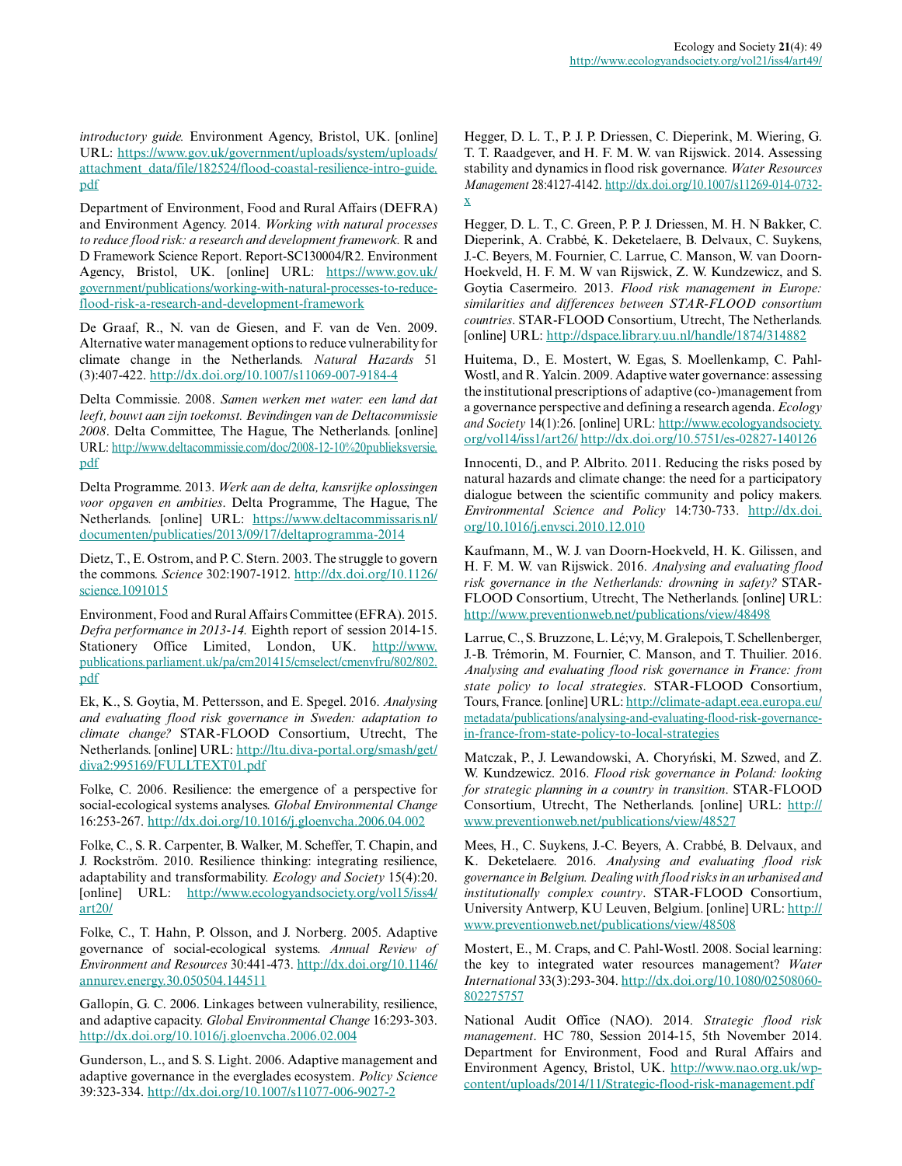*introductory guide.* Environment Agency, Bristol, UK. [online] URL: [https://www.gov.uk/government/uploads/system/uploads/](https://www.gov.uk/government/uploads/system/uploads/attachment_data/file/182524/flood-coastal-resilience-intro-guide.pdf) [attachment\\_data/file/182524/flood-coastal-resilience-intro-guide.](https://www.gov.uk/government/uploads/system/uploads/attachment_data/file/182524/flood-coastal-resilience-intro-guide.pdf) [pdf](https://www.gov.uk/government/uploads/system/uploads/attachment_data/file/182524/flood-coastal-resilience-intro-guide.pdf)

Department of Environment, Food and Rural Affairs (DEFRA) and Environment Agency. 2014. *Working with natural processes to reduce flood risk: a research and development framework.* R and D Framework Science Report. Report-SC130004/R2. Environment Agency, Bristol, UK. [online] URL: [https://www.gov.uk/](https://www.gov.uk/government/publications/working-with-natural-processes-to-reduce-flood-risk-a-research-and-development-framework) [government/publications/working-with-natural-processes-to-reduce](https://www.gov.uk/government/publications/working-with-natural-processes-to-reduce-flood-risk-a-research-and-development-framework)[flood-risk-a-research-and-development-framework](https://www.gov.uk/government/publications/working-with-natural-processes-to-reduce-flood-risk-a-research-and-development-framework)

De Graaf, R., N. van de Giesen, and F. van de Ven. 2009. Alternative water management options to reduce vulnerability for climate change in the Netherlands. *Natural Hazards* 51 (3):407-422. [http://dx.doi.org/10.1007/s11069-007-9184-4](http://dx.doi.org/10.1007%2Fs11069-007-9184-4) 

Delta Commissie. 2008. *Samen werken met water: een land dat leeft, bouwt aan zijn toekomst. Bevindingen van de Deltacommissie 2008*. Delta Committee, The Hague, The Netherlands. [online] URL: [http://www.deltacommissie.com/doc/2008-12-10%20publieksversie.](http://www.deltacommissie.com/doc/2008-12-10%20publieksversie.pdf) [pdf](http://www.deltacommissie.com/doc/2008-12-10%20publieksversie.pdf)

Delta Programme. 2013. *Werk aan de delta, kansrijke oplossingen voor opgaven en ambities*. Delta Programme, The Hague, The Netherlands. [online] URL: [https://www.deltacommissaris.nl/](https://www.deltacommissaris.nl/documenten/publicaties/2013/09/17/deltaprogramma-2014) [documenten/publicaties/2013/09/17/deltaprogramma-2014](https://www.deltacommissaris.nl/documenten/publicaties/2013/09/17/deltaprogramma-2014) 

Dietz, T., E. Ostrom, and P. C. Stern. 2003. The struggle to govern the commons. *Science* 302:1907-1912. [http://dx.doi.org/10.1126/](http://dx.doi.org/10.1126%2Fscience.1091015) [science.1091015](http://dx.doi.org/10.1126%2Fscience.1091015)

Environment, Food and Rural Affairs Committee (EFRA). 2015. *Defra performance in 2013-14.* Eighth report of session 2014-15. Stationery Office Limited, London, UK. [http://www.](http://www.publications.parliament.uk/pa/cm201415/cmselect/cmenvfru/802/802.pdf) [publications.parliament.uk/pa/cm201415/cmselect/cmenvfru/802/802.](http://www.publications.parliament.uk/pa/cm201415/cmselect/cmenvfru/802/802.pdf) [pdf](http://www.publications.parliament.uk/pa/cm201415/cmselect/cmenvfru/802/802.pdf)

Ek, K., S. Goytia, M. Pettersson, and E. Spegel. 2016. *Analysing and evaluating flood risk governance in Sweden: adaptation to climate change?* STAR-FLOOD Consortium, Utrecht, The Netherlands. [online] URL: [http://ltu.diva-portal.org/smash/get/](http://ltu.diva-portal.org/smash/get/diva2:995169/FULLTEXT01.pdf) [diva2:995169/FULLTEXT01.pdf](http://ltu.diva-portal.org/smash/get/diva2:995169/FULLTEXT01.pdf)

Folke, C. 2006. Resilience: the emergence of a perspective for social-ecological systems analyses. *Global Environmental Change* 16:253-267. [http://dx.doi.org/10.1016/j.gloenvcha.2006.04.002](http://dx.doi.org/10.1016%2Fj.gloenvcha.2006.04.002)

Folke, C., S. R. Carpenter, B. Walker, M. Scheffer, T. Chapin, and J. Rockström. 2010. Resilience thinking: integrating resilience, adaptability and transformability. *Ecology and Society* 15(4):20. [online] URL: [http://www.ecologyandsociety.org/vol15/iss4/](http://www.ecologyandsociety.org/vol15/iss4/art20/) [art20/](http://www.ecologyandsociety.org/vol15/iss4/art20/)

Folke, C., T. Hahn, P. Olsson, and J. Norberg. 2005. Adaptive governance of social-ecological systems. *Annual Review of Environment and Resources* 30:441-473. [http://dx.doi.org/10.1146/](http://dx.doi.org/10.1146%2Fannurev.energy.30.050504.144511) [annurev.energy.30.050504.144511](http://dx.doi.org/10.1146%2Fannurev.energy.30.050504.144511) 

Gallopín, G. C. 2006. Linkages between vulnerability, resilience, and adaptive capacity. *Global Environmental Change* 16:293-303. [http://dx.doi.org/10.1016/j.gloenvcha.2006.02.004](http://dx.doi.org/10.1016%2Fj.gloenvcha.2006.02.004)

Gunderson, L., and S. S. Light. 2006. Adaptive management and adaptive governance in the everglades ecosystem. *Policy Science* 39:323-334. [http://dx.doi.org/10.1007/s11077-006-9027-2](http://dx.doi.org/10.1007%2Fs11077-006-9027-2)

Hegger, D. L. T., P. J. P. Driessen, C. Dieperink, M. Wiering, G. T. T. Raadgever, and H. F. M. W. van Rijswick. 2014. Assessing stability and dynamics in flood risk governance. *Water Resources Management* 28:4127-4142. [http://dx.doi.org/10.1007/s11269-014-0732](http://dx.doi.org/10.1007%2Fs11269-014-0732-x) [x](http://dx.doi.org/10.1007%2Fs11269-014-0732-x) 

Hegger, D. L. T., C. Green, P. P. J. Driessen, M. H. N Bakker, C. Dieperink, A. Crabbé, K. Deketelaere, B. Delvaux, C. Suykens, J.-C. Beyers, M. Fournier, C. Larrue, C. Manson, W. van Doorn-Hoekveld, H. F. M. W van Rijswick, Z. W. Kundzewicz, and S. Goytia Casermeiro. 2013. *Flood risk management in Europe: similarities and differences between STAR-FLOOD consortium countries*. STAR-FLOOD Consortium, Utrecht, The Netherlands. [online] URL: <http://dspace.library.uu.nl/handle/1874/314882>

Huitema, D., E. Mostert, W. Egas, S. Moellenkamp, C. Pahl-Wostl, and R. Yalcin. 2009. Adaptive water governance: assessing the institutional prescriptions of adaptive (co-)management from a governance perspective and defining a research agenda. *Ecology and Society* 14(1):26. [online] URL: [http://www.ecologyandsociety.](http://www.ecologyandsociety.org/vol14/iss1/art26/) [org/vol14/iss1/art26/](http://www.ecologyandsociety.org/vol14/iss1/art26/) [http://dx.doi.org/10.5751/es-02827-140126](http://dx.doi.org/10.5751%2Fes-02827-140126)

Innocenti, D., and P. Albrito. 2011. Reducing the risks posed by natural hazards and climate change: the need for a participatory dialogue between the scientific community and policy makers. *Environmental Science and Policy* 14:730-733. [http://dx.doi.](http://dx.doi.org/10.1016%2Fj.envsci.2010.12.010) [org/10.1016/j.envsci.2010.12.010](http://dx.doi.org/10.1016%2Fj.envsci.2010.12.010) 

Kaufmann, M., W. J. van Doorn-Hoekveld, H. K. Gilissen, and H. F. M. W. van Rijswick. 2016. *Analysing and evaluating flood risk governance in the Netherlands: drowning in safety?* STAR-FLOOD Consortium, Utrecht, The Netherlands. [online] URL: <http://www.preventionweb.net/publications/view/48498>

Larrue, C., S. Bruzzone, L. Lé;vy, M. Gralepois, T. Schellenberger, J.-B. Trémorin, M. Fournier, C. Manson, and T. Thuilier. 2016. *Analysing and evaluating flood risk governance in France: from state policy to local strategies*. STAR-FLOOD Consortium, Tours, France. [online] URL: [http://climate-adapt.eea.europa.eu/](http://climate-adapt.eea.europa.eu/metadata/publications/analysing-and-evaluating-flood-risk-governance-in-france-from-state-policy-to-local-strategies) [metadata/publications/analysing-and-evaluating-flood-risk-governance](http://climate-adapt.eea.europa.eu/metadata/publications/analysing-and-evaluating-flood-risk-governance-in-france-from-state-policy-to-local-strategies)[in-france-from-state-policy-to-local-strategies](http://climate-adapt.eea.europa.eu/metadata/publications/analysing-and-evaluating-flood-risk-governance-in-france-from-state-policy-to-local-strategies)

Matczak, P., J. Lewandowski, A. Choryński, M. Szwed, and Z. W. Kundzewicz. 2016. *Flood risk governance in Poland: looking for strategic planning in a country in transition*. STAR-FLOOD Consortium, Utrecht, The Netherlands. [online] URL: [http://](http://www.preventionweb.net/publications/view/48527) [www.preventionweb.net/publications/view/48527](http://www.preventionweb.net/publications/view/48527) 

Mees, H., C. Suykens, J.-C. Beyers, A. Crabbé, B. Delvaux, and K. Deketelaere. 2016. *Analysing and evaluating flood risk governance in Belgium. Dealing with flood risks in an urbanised and institutionally complex country*. STAR-FLOOD Consortium, University Antwerp, KU Leuven, Belgium. [online] URL: [http://](http://www.preventionweb.net/publications/view/48508) [www.preventionweb.net/publications/view/48508](http://www.preventionweb.net/publications/view/48508) 

Mostert, E., M. Craps, and C. Pahl-Wostl. 2008. Social learning: the key to integrated water resources management? *Water International* 33(3):293-304. [http://dx.doi.org/10.1080/02508060](http://dx.doi.org/10.1080%2F02508060802275757) [802275757](http://dx.doi.org/10.1080%2F02508060802275757) 

National Audit Office (NAO). 2014. *Strategic flood risk management*. HC 780, Session 2014-15, 5th November 2014. Department for Environment, Food and Rural Affairs and Environment Agency, Bristol, UK. [http://www.nao.org.uk/wp](http://www.nao.org.uk/wp-content/uploads/2014/11/Strategic-flood-risk-management.pdf)[content/uploads/2014/11/Strategic-flood-risk-management.pdf](http://www.nao.org.uk/wp-content/uploads/2014/11/Strategic-flood-risk-management.pdf)